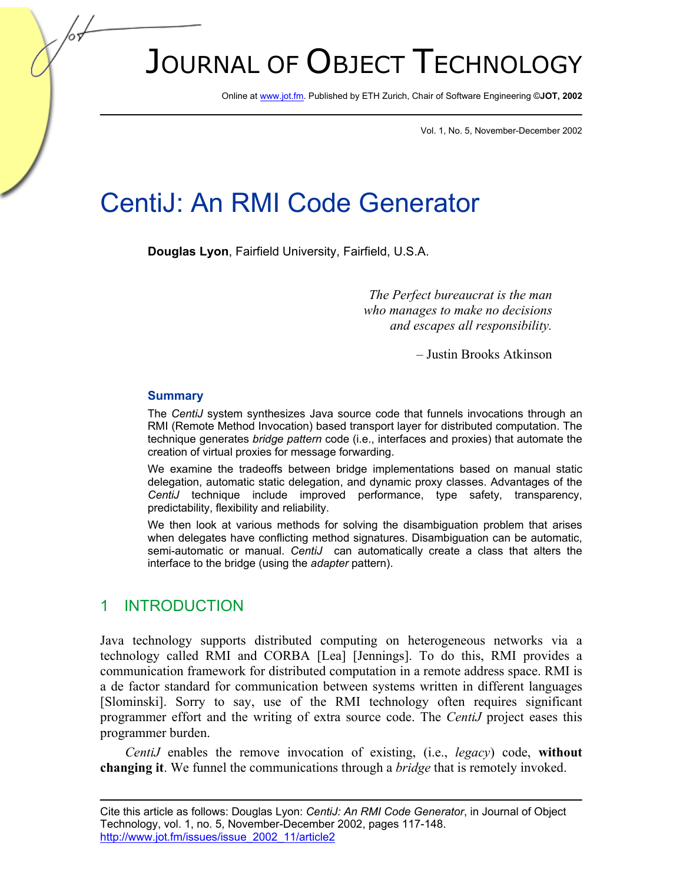# JOURNAL OF OBJECT TECHNOLOGY

Online a[t www.jot.fm.](http://www.jot.fm) Published by ETH Zurich, Chair of Software Engineering ©**JOT, 2002** 

Vol. 1, No. 5, November-December 2002

## CentiJ: An RMI Code Generator

**Douglas Lyon**, Fairfield University, Fairfield, U.S.A.

*The Perfect bureaucrat is the man who manages to make no decisions and escapes all responsibility.* 

– Justin Brooks Atkinson

#### **Summary**

The *CentiJ* system synthesizes Java source code that funnels invocations through an RMI (Remote Method Invocation) based transport layer for distributed computation. The technique generates *bridge pattern* code (i.e., interfaces and proxies) that automate the creation of virtual proxies for message forwarding.

We examine the tradeoffs between bridge implementations based on manual static delegation, automatic static delegation, and dynamic proxy classes. Advantages of the *CentiJ* technique include improved performance, type safety, transparency, predictability, flexibility and reliability.

We then look at various methods for solving the disambiguation problem that arises when delegates have conflicting method signatures. Disambiguation can be automatic, semi-automatic or manual. *CentiJ* can automatically create a class that alters the interface to the bridge (using the *adapter* pattern).

## 1 INTRODUCTION

Java technology supports distributed computing on heterogeneous networks via a technology called RMI and CORBA [Lea] [Jennings]. To do this, RMI provides a communication framework for distributed computation in a remote address space. RMI is a de factor standard for communication between systems written in different languages [Slominski]. Sorry to say, use of the RMI technology often requires significant programmer effort and the writing of extra source code. The *CentiJ* project eases this programmer burden.

*CentiJ* enables the remove invocation of existing, (i.e., *legacy*) code, **without changing it**. We funnel the communications through a *bridge* that is remotely invoked.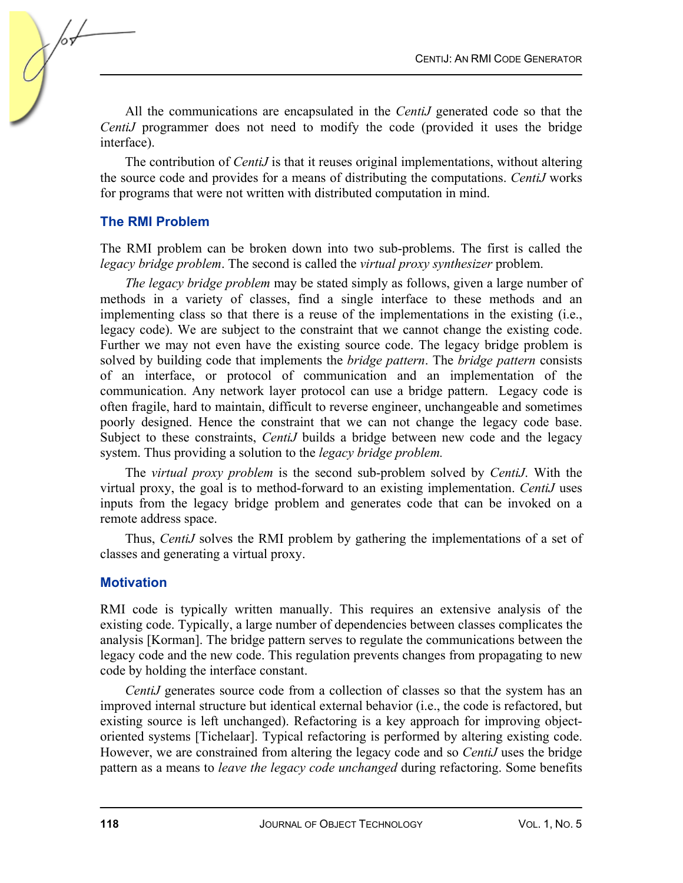All the communications are encapsulated in the *CentiJ* generated code so that the *CentiJ* programmer does not need to modify the code (provided it uses the bridge interface).

The contribution of *CentiJ* is that it reuses original implementations, without altering the source code and provides for a means of distributing the computations. *CentiJ* works for programs that were not written with distributed computation in mind.

## **The RMI Problem**

The RMI problem can be broken down into two sub-problems. The first is called the *legacy bridge problem*. The second is called the *virtual proxy synthesizer* problem.

*The legacy bridge problem* may be stated simply as follows, given a large number of methods in a variety of classes, find a single interface to these methods and an implementing class so that there is a reuse of the implementations in the existing (i.e., legacy code). We are subject to the constraint that we cannot change the existing code. Further we may not even have the existing source code. The legacy bridge problem is solved by building code that implements the *bridge pattern*. The *bridge pattern* consists of an interface, or protocol of communication and an implementation of the communication. Any network layer protocol can use a bridge pattern. Legacy code is often fragile, hard to maintain, difficult to reverse engineer, unchangeable and sometimes poorly designed. Hence the constraint that we can not change the legacy code base. Subject to these constraints, *CentiJ* builds a bridge between new code and the legacy system. Thus providing a solution to the *legacy bridge problem.*

The *virtual proxy problem* is the second sub-problem solved by *CentiJ*. With the virtual proxy, the goal is to method-forward to an existing implementation. *CentiJ* uses inputs from the legacy bridge problem and generates code that can be invoked on a remote address space.

Thus, *CentiJ* solves the RMI problem by gathering the implementations of a set of classes and generating a virtual proxy.

## **Motivation**

RMI code is typically written manually. This requires an extensive analysis of the existing code. Typically, a large number of dependencies between classes complicates the analysis [Korman]. The bridge pattern serves to regulate the communications between the legacy code and the new code. This regulation prevents changes from propagating to new code by holding the interface constant.

*CentiJ* generates source code from a collection of classes so that the system has an improved internal structure but identical external behavior (i.e., the code is refactored, but existing source is left unchanged). Refactoring is a key approach for improving objectoriented systems [Tichelaar]. Typical refactoring is performed by altering existing code. However, we are constrained from altering the legacy code and so *CentiJ* uses the bridge pattern as a means to *leave the legacy code unchanged* during refactoring. Some benefits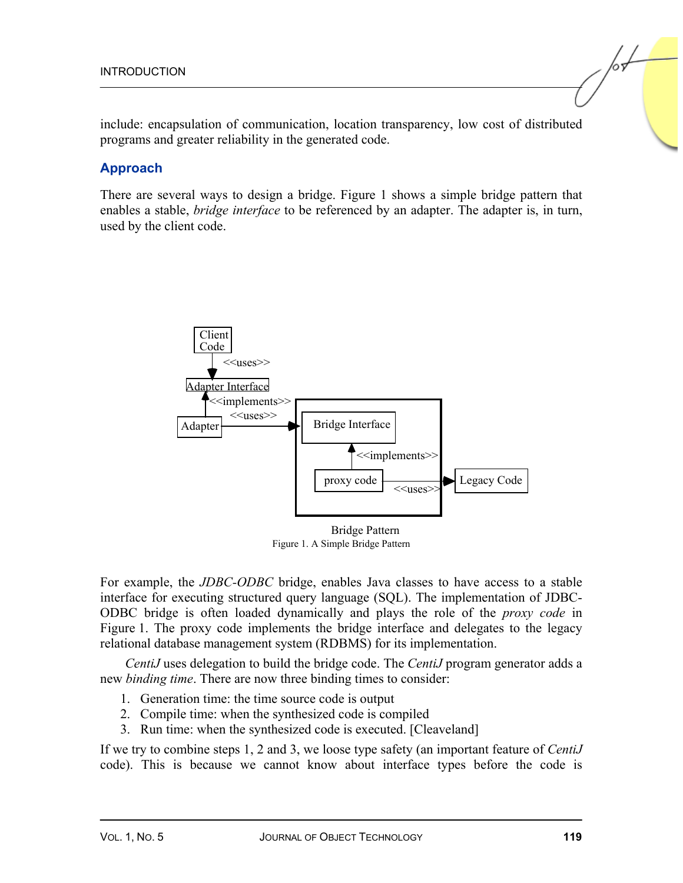include: encapsulation of communication, location transparency, low cost of distributed programs and greater reliability in the generated code.

### **Approach**

There are several ways to design a bridge. Figure 1 shows a simple bridge pattern that enables a stable, *bridge interface* to be referenced by an adapter. The adapter is, in turn, used by the client code.



Figure 1. A Simple Bridge Pattern

For example, the *JDBC-ODBC* bridge, enables Java classes to have access to a stable interface for executing structured query language (SQL). The implementation of JDBC-ODBC bridge is often loaded dynamically and plays the role of the *proxy code* in Figure 1. The proxy code implements the bridge interface and delegates to the legacy relational database management system (RDBMS) for its implementation.

*CentiJ* uses delegation to build the bridge code. The *CentiJ* program generator adds a new *binding time*. There are now three binding times to consider:

- 1. Generation time: the time source code is output
- 2. Compile time: when the synthesized code is compiled
- 3. Run time: when the synthesized code is executed. [Cleaveland]

If we try to combine steps 1, 2 and 3, we loose type safety (an important feature of *CentiJ* code). This is because we cannot know about interface types before the code is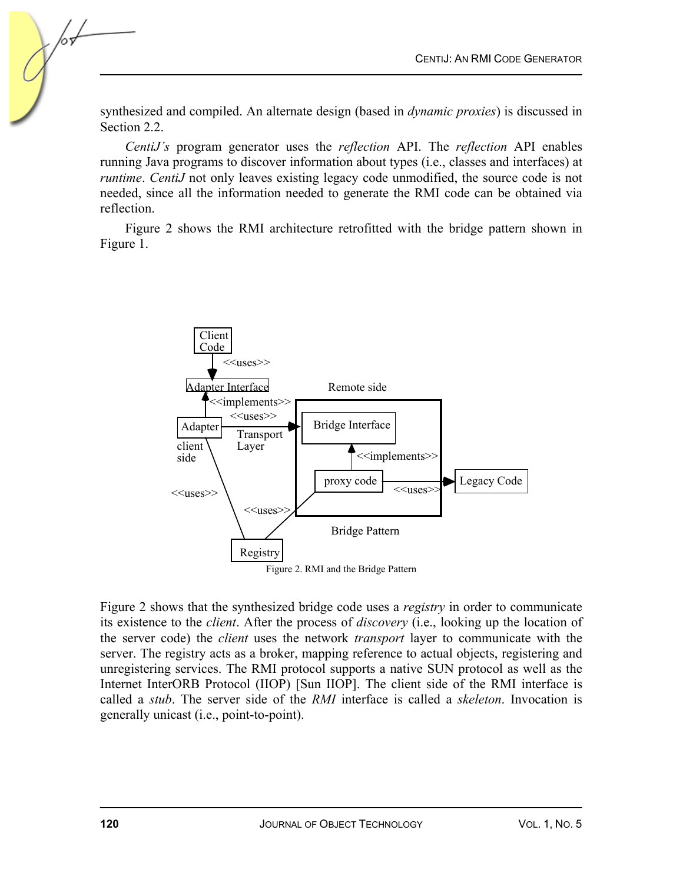synthesized and compiled. An alternate design (based in *dynamic proxies*) is discussed in Section 2.2.

*CentiJ's* program generator uses the *reflection* API. The *reflection* API enables running Java programs to discover information about types (i.e., classes and interfaces) at *runtime. CentiJ* not only leaves existing legacy code unmodified, the source code is not needed, since all the information needed to generate the RMI code can be obtained via reflection.

Figure 2 shows the RMI architecture retrofitted with the bridge pattern shown in Figure 1.



Figure 2 shows that the synthesized bridge code uses a *registry* in order to communicate its existence to the *client*. After the process of *discovery* (i.e., looking up the location of the server code) the *client* uses the network *transport* layer to communicate with the server. The registry acts as a broker, mapping reference to actual objects, registering and unregistering services. The RMI protocol supports a native SUN protocol as well as the Internet InterORB Protocol (IIOP) [Sun IIOP]. The client side of the RMI interface is called a *stub*. The server side of the *RMI* interface is called a *skeleton*. Invocation is generally unicast (i.e., point-to-point).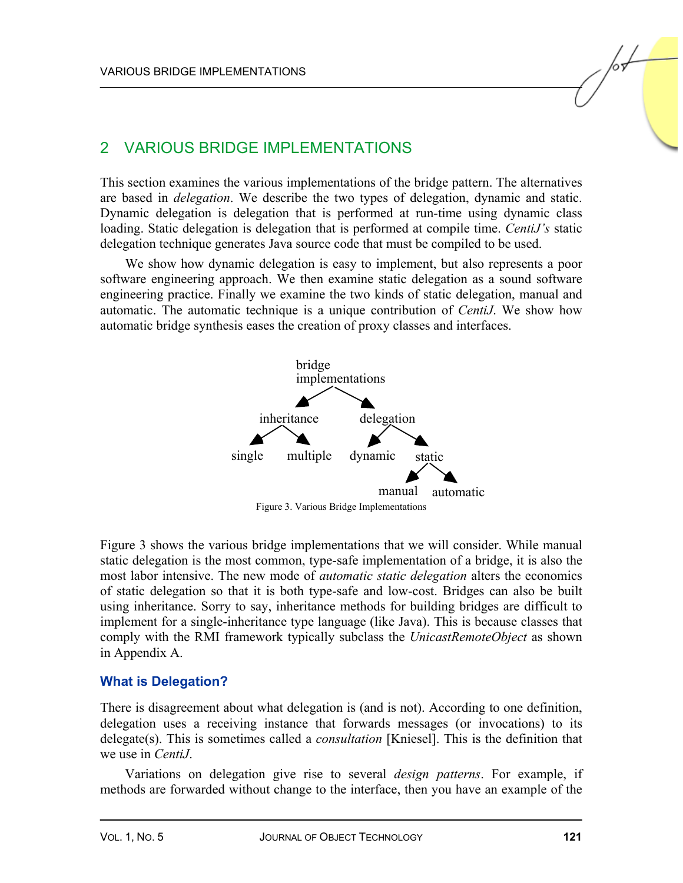## 2 VARIOUS BRIDGE IMPLEMENTATIONS

This section examines the various implementations of the bridge pattern. The alternatives are based in *delegation*. We describe the two types of delegation, dynamic and static. Dynamic delegation is delegation that is performed at run-time using dynamic class loading. Static delegation is delegation that is performed at compile time. *CentiJ's* static delegation technique generates Java source code that must be compiled to be used.

We show how dynamic delegation is easy to implement, but also represents a poor software engineering approach. We then examine static delegation as a sound software engineering practice. Finally we examine the two kinds of static delegation, manual and automatic. The automatic technique is a unique contribution of *CentiJ*. We show how automatic bridge synthesis eases the creation of proxy classes and interfaces.



Figure 3. Various Bridge Implementations

Figure 3 shows the various bridge implementations that we will consider. While manual static delegation is the most common, type-safe implementation of a bridge, it is also the most labor intensive. The new mode of *automatic static delegation* alters the economics of static delegation so that it is both type-safe and low-cost. Bridges can also be built using inheritance. Sorry to say, inheritance methods for building bridges are difficult to implement for a single-inheritance type language (like Java). This is because classes that comply with the RMI framework typically subclass the *UnicastRemoteObject* as shown in Appendix A.

## **What is Delegation?**

There is disagreement about what delegation is (and is not). According to one definition, delegation uses a receiving instance that forwards messages (or invocations) to its delegate(s). This is sometimes called a *consultation* [Kniesel]. This is the definition that we use in *CentiJ*.

Variations on delegation give rise to several *design patterns*. For example, if methods are forwarded without change to the interface, then you have an example of the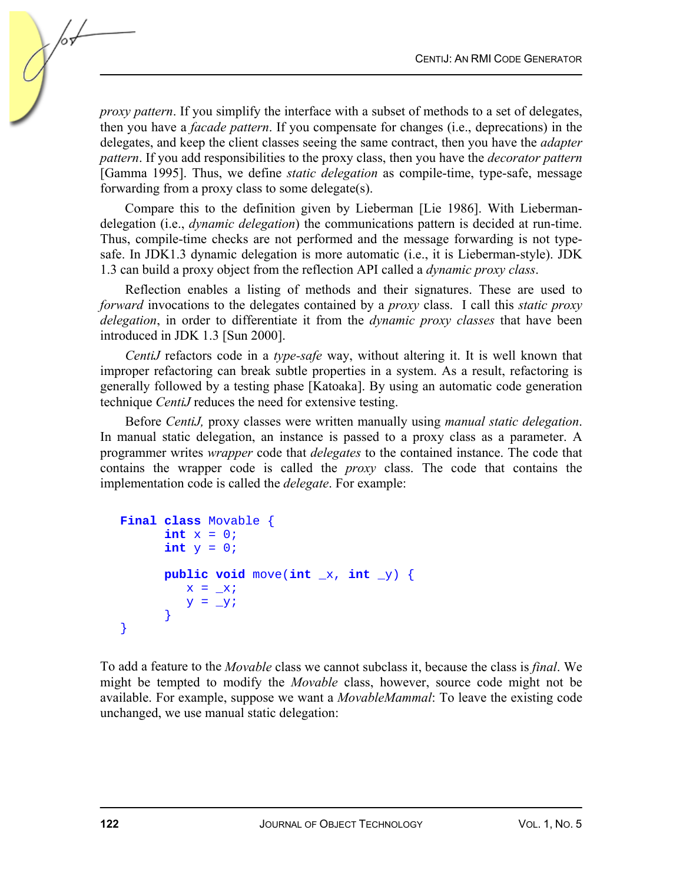*proxy pattern*. If you simplify the interface with a subset of methods to a set of delegates, then you have a *facade pattern*. If you compensate for changes (i.e., deprecations) in the delegates, and keep the client classes seeing the same contract, then you have the *adapter pattern*. If you add responsibilities to the proxy class, then you have the *decorator pattern* [Gamma 1995]. Thus, we define *static delegation* as compile-time, type-safe, message forwarding from a proxy class to some delegate(s).

Compare this to the definition given by Lieberman [Lie 1986]. With Liebermandelegation (i.e., *dynamic delegation*) the communications pattern is decided at run-time. Thus, compile-time checks are not performed and the message forwarding is not typesafe. In JDK1.3 dynamic delegation is more automatic (i.e., it is Lieberman-style). JDK 1.3 can build a proxy object from the reflection API called a *dynamic proxy class*.

Reflection enables a listing of methods and their signatures. These are used to *forward* invocations to the delegates contained by a *proxy* class. I call this *static proxy delegation*, in order to differentiate it from the *dynamic proxy classes* that have been introduced in JDK 1.3 [Sun 2000].

*CentiJ* refactors code in a *type-safe* way, without altering it. It is well known that improper refactoring can break subtle properties in a system. As a result, refactoring is generally followed by a testing phase [Katoaka]. By using an automatic code generation technique *CentiJ* reduces the need for extensive testing.

Before *CentiJ,* proxy classes were written manually using *manual static delegation*. In manual static delegation, an instance is passed to a proxy class as a parameter. A programmer writes *wrapper* code that *delegates* to the contained instance. The code that contains the wrapper code is called the *proxy* class. The code that contains the implementation code is called the *delegate*. For example:

```
Final class Movable { 
       int x = 0;int y = 0;public void move(int \mathbf{x}, int \mathbf{y}) {
          x = \_xiy = y } 
}
```
To add a feature to the *Movable* class we cannot subclass it, because the class is *final*. We might be tempted to modify the *Movable* class, however, source code might not be available. For example, suppose we want a *MovableMammal*: To leave the existing code unchanged, we use manual static delegation: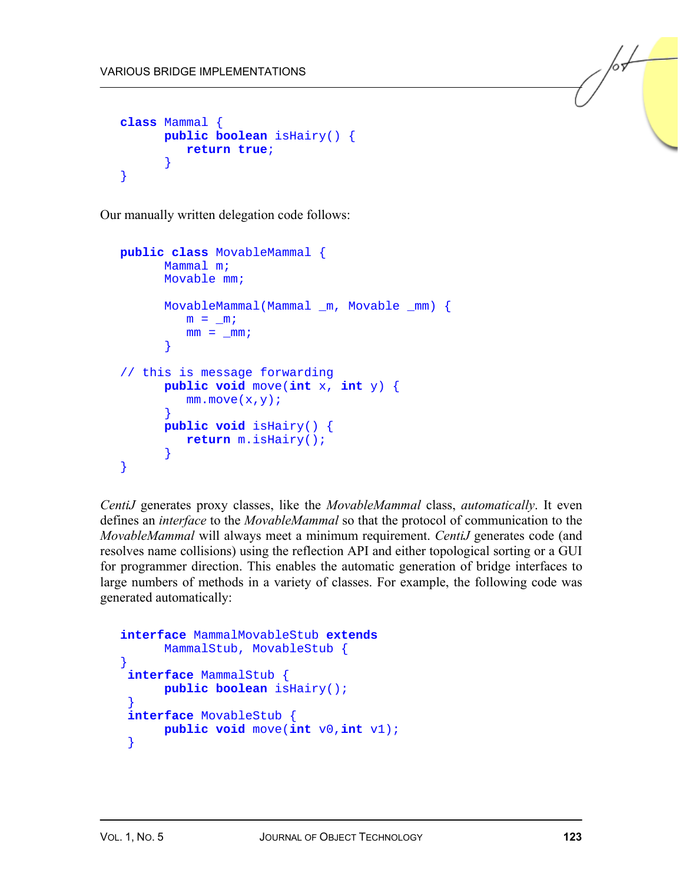```
class Mammal { 
       public boolean isHairy() { 
          return true; 
 } 
}
```
Our manually written delegation code follows:

```
public class MovableMammal { 
       Mammal m; 
       Movable mm; 
       MovableMammal(Mammal _m, Movable _mm) { 
         m = m;mm = mm; } 
// this is message forwarding 
       public void move(int x, int y) { 
         mm.move(x,y); } 
       public void isHairy() { 
          return m.isHairy(); 
 } 
}
```
*CentiJ* generates proxy classes, like the *MovableMammal* class, *automatically*. It even defines an *interface* to the *MovableMammal* so that the protocol of communication to the *MovableMammal* will always meet a minimum requirement. *CentiJ* generates code (and resolves name collisions) using the reflection API and either topological sorting or a GUI for programmer direction. This enables the automatic generation of bridge interfaces to large numbers of methods in a variety of classes. For example, the following code was generated automatically:

```
interface MammalMovableStub extends 
       MammalStub, MovableStub { 
} 
interface MammalStub { 
       public boolean isHairy(); 
 }
interface MovableStub { 
       public void move(int v0,int v1); 
  }
```
 $\sqrt{\frac{1}{2}}$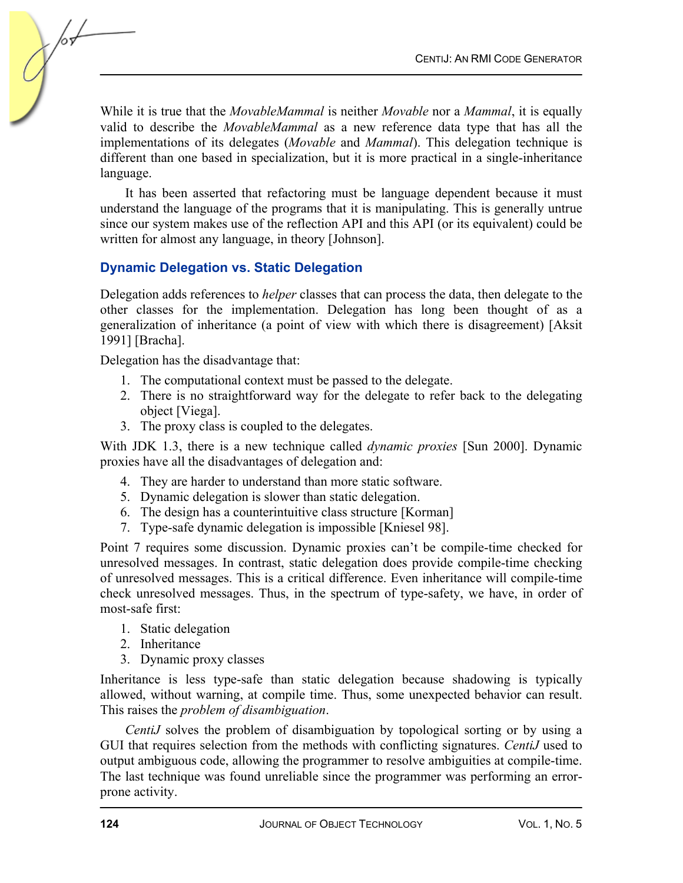While it is true that the *MovableMammal* is neither *Movable* nor a *Mammal*, it is equally valid to describe the *MovableMammal* as a new reference data type that has all the implementations of its delegates (*Movable* and *Mammal*). This delegation technique is different than one based in specialization, but it is more practical in a single-inheritance language.

It has been asserted that refactoring must be language dependent because it must understand the language of the programs that it is manipulating. This is generally untrue since our system makes use of the reflection API and this API (or its equivalent) could be written for almost any language, in theory [Johnson].

## **Dynamic Delegation vs. Static Delegation**

Delegation adds references to *helper* classes that can process the data, then delegate to the other classes for the implementation. Delegation has long been thought of as a generalization of inheritance (a point of view with which there is disagreement) [Aksit 1991] [Bracha].

Delegation has the disadvantage that:

- 1. The computational context must be passed to the delegate.
- 2. There is no straightforward way for the delegate to refer back to the delegating object [Viega].
- 3. The proxy class is coupled to the delegates.

With JDK 1.3, there is a new technique called *dynamic proxies* [Sun 2000]. Dynamic proxies have all the disadvantages of delegation and:

- 4. They are harder to understand than more static software.
- 5. Dynamic delegation is slower than static delegation.
- 6. The design has a counterintuitive class structure [Korman]
- 7. Type-safe dynamic delegation is impossible [Kniesel 98].

Point 7 requires some discussion. Dynamic proxies can't be compile-time checked for unresolved messages. In contrast, static delegation does provide compile-time checking of unresolved messages. This is a critical difference. Even inheritance will compile-time check unresolved messages. Thus, in the spectrum of type-safety, we have, in order of most-safe first:

- 1. Static delegation
- 2. Inheritance
- 3. Dynamic proxy classes

Inheritance is less type-safe than static delegation because shadowing is typically allowed, without warning, at compile time. Thus, some unexpected behavior can result. This raises the *problem of disambiguation*.

*CentiJ* solves the problem of disambiguation by topological sorting or by using a GUI that requires selection from the methods with conflicting signatures. *CentiJ* used to output ambiguous code, allowing the programmer to resolve ambiguities at compile-time. The last technique was found unreliable since the programmer was performing an errorprone activity.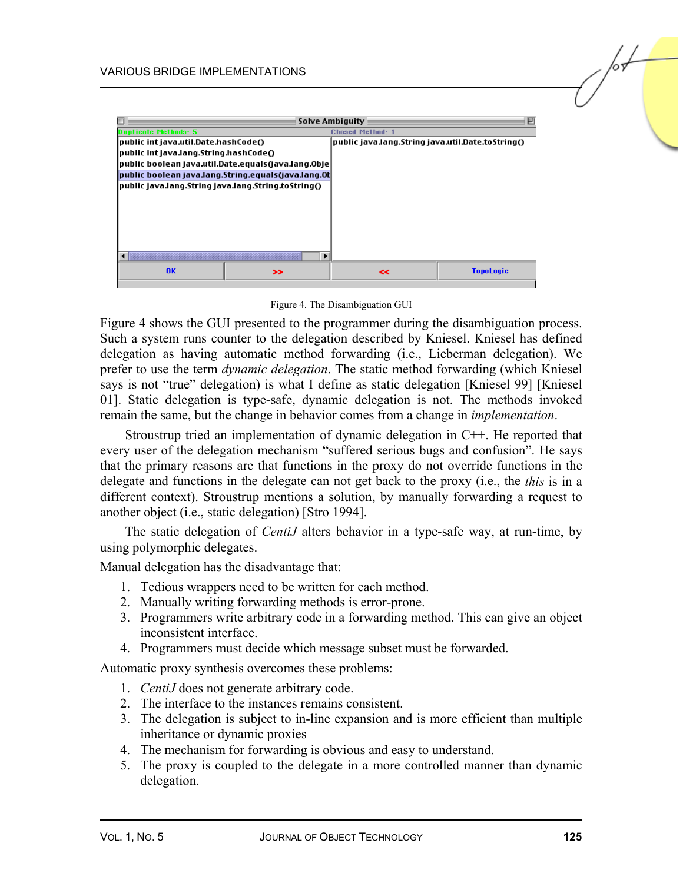

Figure 4. The Disambiguation GUI

Figure 4 shows the GUI presented to the programmer during the disambiguation process. Such a system runs counter to the delegation described by Kniesel. Kniesel has defined delegation as having automatic method forwarding (i.e., Lieberman delegation). We prefer to use the term *dynamic delegation*. The static method forwarding (which Kniesel says is not "true" delegation) is what I define as static delegation [Kniesel 99] [Kniesel 01]. Static delegation is type-safe, dynamic delegation is not. The methods invoked remain the same, but the change in behavior comes from a change in *implementation*.

Stroustrup tried an implementation of dynamic delegation in C++. He reported that every user of the delegation mechanism "suffered serious bugs and confusion". He says that the primary reasons are that functions in the proxy do not override functions in the delegate and functions in the delegate can not get back to the proxy (i.e., the *this* is in a different context). Stroustrup mentions a solution, by manually forwarding a request to another object (i.e., static delegation) [Stro 1994].

The static delegation of *CentiJ* alters behavior in a type-safe way, at run-time, by using polymorphic delegates.

Manual delegation has the disadvantage that:

- 1. Tedious wrappers need to be written for each method.
- 2. Manually writing forwarding methods is error-prone.
- 3. Programmers write arbitrary code in a forwarding method. This can give an object inconsistent interface.
- 4. Programmers must decide which message subset must be forwarded.

Automatic proxy synthesis overcomes these problems:

- 1. *CentiJ* does not generate arbitrary code.
- 2. The interface to the instances remains consistent.
- 3. The delegation is subject to in-line expansion and is more efficient than multiple inheritance or dynamic proxies
- 4. The mechanism for forwarding is obvious and easy to understand.
- 5. The proxy is coupled to the delegate in a more controlled manner than dynamic delegation.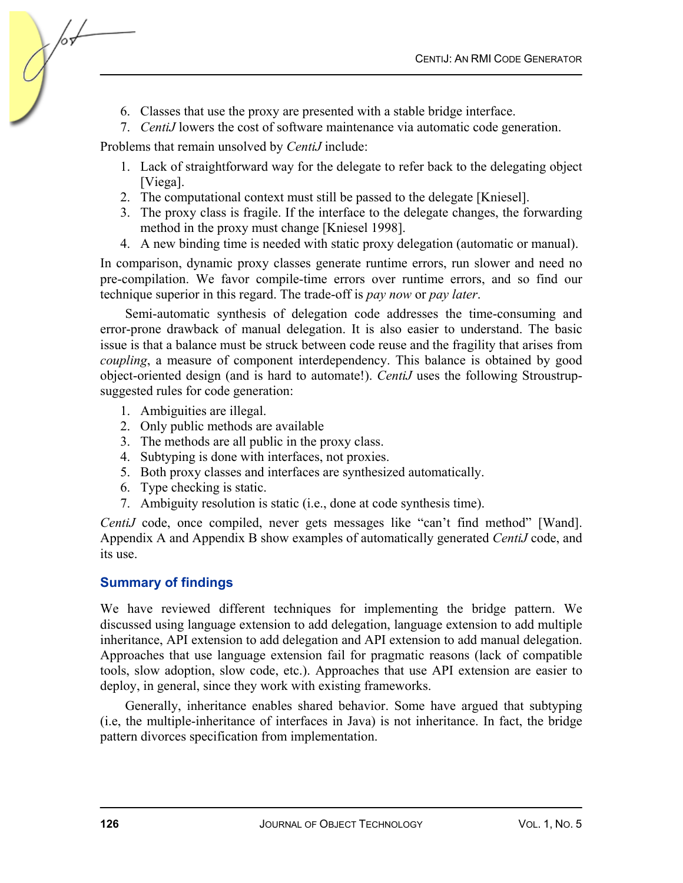- 6. Classes that use the proxy are presented with a stable bridge interface.
- 7. *CentiJ* lowers the cost of software maintenance via automatic code generation.

Problems that remain unsolved by *CentiJ* include:

- 1. Lack of straightforward way for the delegate to refer back to the delegating object [Viega].
- 2. The computational context must still be passed to the delegate [Kniesel].
- 3. The proxy class is fragile. If the interface to the delegate changes, the forwarding method in the proxy must change [Kniesel 1998].
- 4. A new binding time is needed with static proxy delegation (automatic or manual).

In comparison, dynamic proxy classes generate runtime errors, run slower and need no pre-compilation. We favor compile-time errors over runtime errors, and so find our technique superior in this regard. The trade-off is *pay now* or *pay later*.

Semi-automatic synthesis of delegation code addresses the time-consuming and error-prone drawback of manual delegation. It is also easier to understand. The basic issue is that a balance must be struck between code reuse and the fragility that arises from *coupling*, a measure of component interdependency. This balance is obtained by good object-oriented design (and is hard to automate!). *CentiJ* uses the following Stroustrupsuggested rules for code generation:

- 1. Ambiguities are illegal.
- 2. Only public methods are available
- 3. The methods are all public in the proxy class.
- 4. Subtyping is done with interfaces, not proxies.
- 5. Both proxy classes and interfaces are synthesized automatically.
- 6. Type checking is static.
- 7. Ambiguity resolution is static (i.e., done at code synthesis time).

*CentiJ* code, once compiled, never gets messages like "can't find method" [Wand]. Appendix A and Appendix B show examples of automatically generated *CentiJ* code, and its use.

## **Summary of findings**

We have reviewed different techniques for implementing the bridge pattern. We discussed using language extension to add delegation, language extension to add multiple inheritance, API extension to add delegation and API extension to add manual delegation. Approaches that use language extension fail for pragmatic reasons (lack of compatible tools, slow adoption, slow code, etc.). Approaches that use API extension are easier to deploy, in general, since they work with existing frameworks.

Generally, inheritance enables shared behavior. Some have argued that subtyping (i.e, the multiple-inheritance of interfaces in Java) is not inheritance. In fact, the bridge pattern divorces specification from implementation.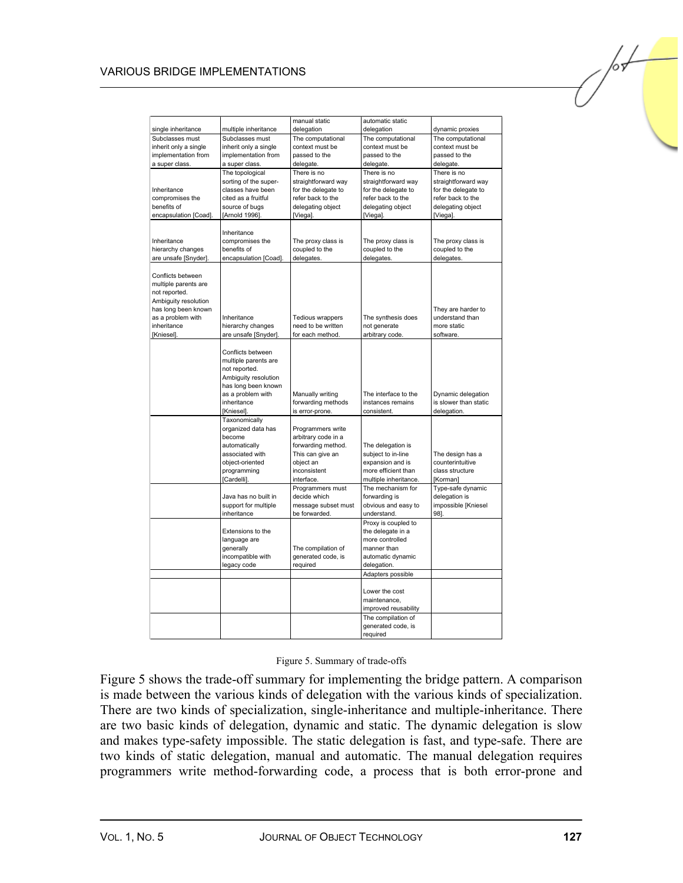#### VARIOUS BRIDGE IMPLEMENTATIONS

| single inheritance    | multiple inheritance       | manual static<br>delegation          | automatic static<br>delegation               | dynamic proxies                      |
|-----------------------|----------------------------|--------------------------------------|----------------------------------------------|--------------------------------------|
| Subclasses must       | Subclasses must            | The computational                    | The computational                            | The computational                    |
| inherit only a single | inherit only a single      | context must be                      | context must be                              | context must be                      |
| implementation from   | implementation from        | passed to the                        | passed to the                                | passed to the                        |
| a super class.        | a super class.             | delegate.                            | delegate.                                    | delegate.                            |
|                       | The topological            | There is no                          | There is no                                  | There is no                          |
|                       | sorting of the super-      | straightforward way                  | straightforward way                          | straightforward way                  |
| Inheritance           | classes have been          | for the delegate to                  | for the delegate to                          | for the delegate to                  |
| compromises the       | cited as a fruitful        | refer back to the                    | refer back to the                            | refer back to the                    |
| benefits of           | source of bugs             | delegating object                    | delegating object                            | delegating object                    |
| encapsulation [Coad]. | [Arnold 1996].             | [Viega].                             | [Viega].                                     | [Viega].                             |
|                       |                            |                                      |                                              |                                      |
|                       | Inheritance                |                                      |                                              |                                      |
| Inheritance           | compromises the            | The proxy class is<br>coupled to the | The proxy class is<br>coupled to the         | The proxy class is<br>coupled to the |
| hierarchy changes     | benefits of                |                                      |                                              | delegates.                           |
| are unsafe [Snyder].  | encapsulation [Coad].      | delegates.                           | delegates.                                   |                                      |
| Conflicts between     |                            |                                      |                                              |                                      |
| multiple parents are  |                            |                                      |                                              |                                      |
| not reported.         |                            |                                      |                                              |                                      |
| Ambiguity resolution  |                            |                                      |                                              |                                      |
| has long been known   |                            |                                      |                                              | They are harder to                   |
| as a problem with     | Inheritance                | Tedious wrappers                     | The synthesis does                           | understand than                      |
| inheritance           | hierarchy changes          | need to be written                   | not generate                                 | more static                          |
| [Kniesel].            | are unsafe [Snyder].       | for each method.                     | arbitrary code.                              | software.                            |
|                       |                            |                                      |                                              |                                      |
|                       | Conflicts between          |                                      |                                              |                                      |
|                       | multiple parents are       |                                      |                                              |                                      |
|                       | not reported.              |                                      |                                              |                                      |
|                       | Ambiguity resolution       |                                      |                                              |                                      |
|                       | has long been known        |                                      |                                              |                                      |
|                       | as a problem with          | Manually writing                     | The interface to the                         | Dynamic delegation                   |
|                       | inheritance                | forwarding methods                   | instances remains                            | is slower than static                |
|                       | [Kniesel].                 | is error-prone.                      | consistent.                                  | delegation.                          |
|                       | Taxonomically              |                                      |                                              |                                      |
|                       | organized data has         | Programmers write                    |                                              |                                      |
|                       | become                     | arbitrary code in a                  |                                              |                                      |
|                       | automatically              | forwarding method.                   | The delegation is                            |                                      |
|                       | associated with            | This can give an                     | subject to in-line                           | The design has a                     |
|                       | object-oriented            | object an                            | expansion and is                             | counterintuitive                     |
|                       | programming<br>[Cardelli]. | inconsistent<br>interface.           | more efficient than<br>multiple inheritance. | class structure<br>[Korman]          |
|                       |                            | Programmers must                     | The mechanism for                            | Type-safe dynamic                    |
|                       | Java has no built in       | decide which                         | forwarding is                                | delegation is                        |
|                       | support for multiple       | message subset must                  | obvious and easy to                          | impossible [Kniesel                  |
|                       | inheritance                | be forwarded.                        | understand.                                  | 98].                                 |
|                       |                            |                                      | Proxy is coupled to                          |                                      |
|                       | Extensions to the          |                                      | the delegate in a                            |                                      |
|                       | language are               |                                      | more controlled                              |                                      |
|                       | generally                  | The compilation of                   | manner than                                  |                                      |
|                       | incompatible with          | generated code, is                   | automatic dynamic                            |                                      |
|                       | legacy code                | required                             | delegation.                                  |                                      |
|                       |                            |                                      | Adapters possible                            |                                      |
|                       |                            |                                      | Lower the cost                               |                                      |
|                       |                            |                                      | maintenance,                                 |                                      |
|                       |                            |                                      | improved reusability                         |                                      |
|                       |                            |                                      | The compilation of                           |                                      |
|                       |                            |                                      | generated code, is                           |                                      |
|                       |                            |                                      | required                                     |                                      |
|                       |                            |                                      |                                              |                                      |

#### Figure 5. Summary of trade-offs

Figure 5 shows the trade-off summary for implementing the bridge pattern. A comparison is made between the various kinds of delegation with the various kinds of specialization. There are two kinds of specialization, single-inheritance and multiple-inheritance. There are two basic kinds of delegation, dynamic and static. The dynamic delegation is slow and makes type-safety impossible. The static delegation is fast, and type-safe. There are two kinds of static delegation, manual and automatic. The manual delegation requires programmers write method-forwarding code, a process that is both error-prone and /02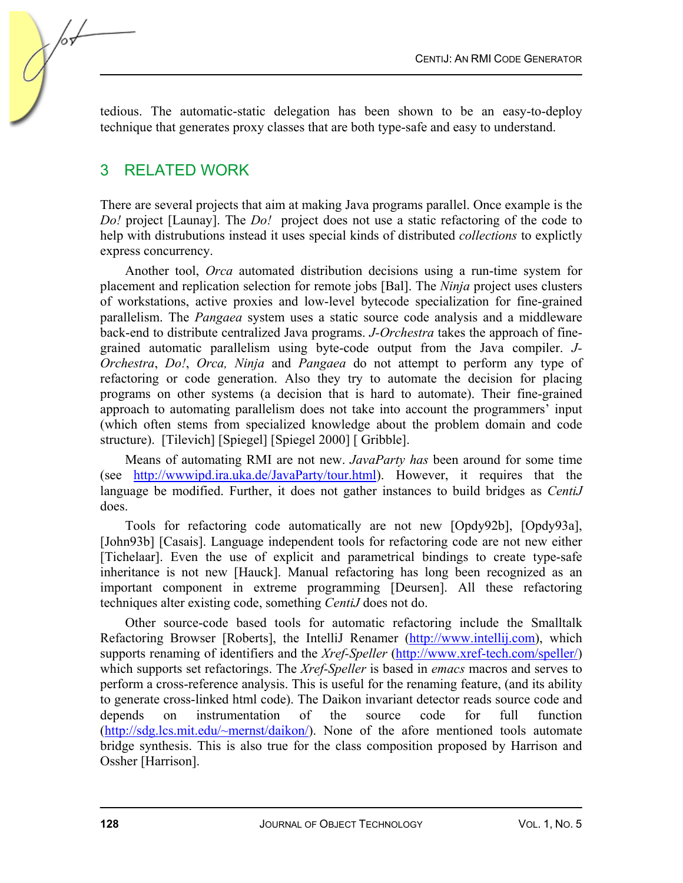tedious. The automatic-static delegation has been shown to be an easy-to-deploy technique that generates proxy classes that are both type-safe and easy to understand.

## 3 RELATED WORK

There are several projects that aim at making Java programs parallel. Once example is the *Do!* project [Launay]. The *Do!* project does not use a static refactoring of the code to help with distrubutions instead it uses special kinds of distributed *collections* to explictly express concurrency.

Another tool, *Orca* automated distribution decisions using a run-time system for placement and replication selection for remote jobs [Bal]. The *Ninja* project uses clusters of workstations, active proxies and low-level bytecode specialization for fine-grained parallelism. The *Pangaea* system uses a static source code analysis and a middleware back-end to distribute centralized Java programs. *J-Orchestra* takes the approach of finegrained automatic parallelism using byte-code output from the Java compiler. *J-Orchestra*, *Do!*, *Orca, Ninja* and *Pangaea* do not attempt to perform any type of refactoring or code generation. Also they try to automate the decision for placing programs on other systems (a decision that is hard to automate). Their fine-grained approach to automating parallelism does not take into account the programmers' input (which often stems from specialized knowledge about the problem domain and code structure). [Tilevich] [Spiegel] [Spiegel 2000] [ Gribble].

Means of automating RMI are not new. *JavaParty has* been around for some time (see [http://wwwipd.ira.uka.de/JavaParty/tour.html\)](http://wwwipd.ira.uka.de/JavaParty/tour.html). However, it requires that the language be modified. Further, it does not gather instances to build bridges as *CentiJ* does.

Tools for refactoring code automatically are not new [Opdy92b], [Opdy93a], [John93b] [Casais]. Language independent tools for refactoring code are not new either [Tichelaar]. Even the use of explicit and parametrical bindings to create type-safe inheritance is not new [Hauck]. Manual refactoring has long been recognized as an important component in extreme programming [Deursen]. All these refactoring techniques alter existing code, something *CentiJ* does not do.

Other source-code based tools for automatic refactoring include the Smalltalk Refactoring Browser [Roberts], the IntelliJ Renamer [\(http://www.intellij.com\)](http://www.intellij.com), which supports renaming of identifiers and the *Xref-Speller* [\(http://www.xref-tech.com/speller/\)](http://www.xref-tech.com/speller/) which supports set refactorings. The *Xref-Speller* is based in *emacs* macros and serves to perform a cross-reference analysis. This is useful for the renaming feature, (and its ability to generate cross-linked html code). The Daikon invariant detector reads source code and depends on instrumentation of the source code for full function [\(http://sdg.lcs.mit.edu/~mernst/daikon/\)](http://sdg.lcs.mit.edu/~mernst/daikon/). None of the afore mentioned tools automate bridge synthesis. This is also true for the class composition proposed by Harrison and Ossher [Harrison].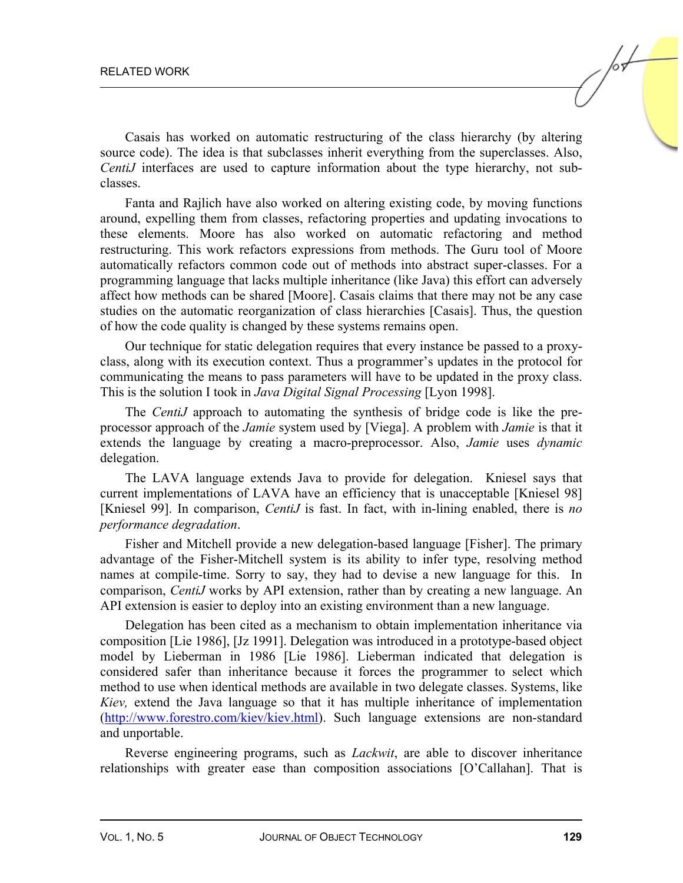Casais has worked on automatic restructuring of the class hierarchy (by altering source code). The idea is that subclasses inherit everything from the superclasses. Also, *CentiJ* interfaces are used to capture information about the type hierarchy, not subclasses.

Fanta and Rajlich have also worked on altering existing code, by moving functions around, expelling them from classes, refactoring properties and updating invocations to these elements. Moore has also worked on automatic refactoring and method restructuring. This work refactors expressions from methods. The Guru tool of Moore automatically refactors common code out of methods into abstract super-classes. For a programming language that lacks multiple inheritance (like Java) this effort can adversely affect how methods can be shared [Moore]. Casais claims that there may not be any case studies on the automatic reorganization of class hierarchies [Casais]. Thus, the question of how the code quality is changed by these systems remains open.

Our technique for static delegation requires that every instance be passed to a proxyclass, along with its execution context. Thus a programmer's updates in the protocol for communicating the means to pass parameters will have to be updated in the proxy class. This is the solution I took in *Java Digital Signal Processing* [Lyon 1998].

The *CentiJ* approach to automating the synthesis of bridge code is like the preprocessor approach of the *Jamie* system used by [Viega]. A problem with *Jamie* is that it extends the language by creating a macro-preprocessor. Also, *Jamie* uses *dynamic* delegation.

The LAVA language extends Java to provide for delegation. Kniesel says that current implementations of LAVA have an efficiency that is unacceptable [Kniesel 98] [Kniesel 99]. In comparison, *CentiJ* is fast. In fact, with in-lining enabled, there is *no performance degradation*.

Fisher and Mitchell provide a new delegation-based language [Fisher]. The primary advantage of the Fisher-Mitchell system is its ability to infer type, resolving method names at compile-time. Sorry to say, they had to devise a new language for this. In comparison, *CentiJ* works by API extension, rather than by creating a new language. An API extension is easier to deploy into an existing environment than a new language.

Delegation has been cited as a mechanism to obtain implementation inheritance via composition [Lie 1986], [Jz 1991]. Delegation was introduced in a prototype-based object model by Lieberman in 1986 [Lie 1986]. Lieberman indicated that delegation is considered safer than inheritance because it forces the programmer to select which method to use when identical methods are available in two delegate classes. Systems, like *Kiev,* extend the Java language so that it has multiple inheritance of implementation [\(http://www.forestro.com/kiev/kiev.html\).](http://www.forestro.com/kiev/kiev.html) Such language extensions are non-standard and unportable.

Reverse engineering programs, such as *Lackwit*, are able to discover inheritance relationships with greater ease than composition associations [O'Callahan]. That is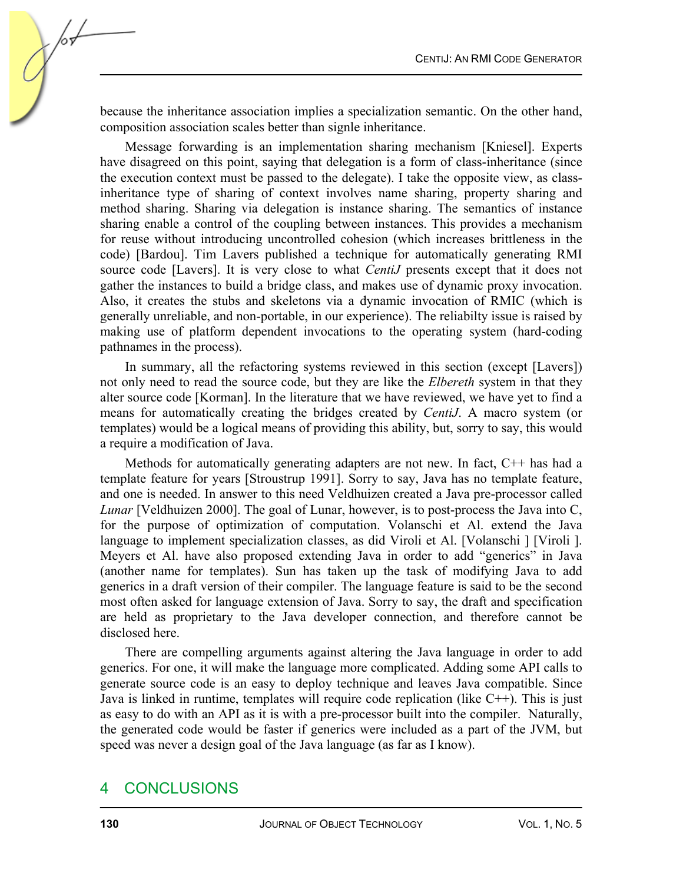because the inheritance association implies a specialization semantic. On the other hand, composition association scales better than signle inheritance.

Message forwarding is an implementation sharing mechanism [Kniesel]. Experts have disagreed on this point, saying that delegation is a form of class-inheritance (since the execution context must be passed to the delegate). I take the opposite view, as classinheritance type of sharing of context involves name sharing, property sharing and method sharing. Sharing via delegation is instance sharing. The semantics of instance sharing enable a control of the coupling between instances. This provides a mechanism for reuse without introducing uncontrolled cohesion (which increases brittleness in the code) [Bardou]. Tim Lavers published a technique for automatically generating RMI source code [Lavers]. It is very close to what *CentiJ* presents except that it does not gather the instances to build a bridge class, and makes use of dynamic proxy invocation. Also, it creates the stubs and skeletons via a dynamic invocation of RMIC (which is generally unreliable, and non-portable, in our experience). The reliabilty issue is raised by making use of platform dependent invocations to the operating system (hard-coding pathnames in the process).

In summary, all the refactoring systems reviewed in this section (except [Lavers]) not only need to read the source code, but they are like the *Elbereth* system in that they alter source code [Korman]. In the literature that we have reviewed, we have yet to find a means for automatically creating the bridges created by *CentiJ*. A macro system (or templates) would be a logical means of providing this ability, but, sorry to say, this would a require a modification of Java.

Methods for automatically generating adapters are not new. In fact, C++ has had a template feature for years [Stroustrup 1991]. Sorry to say, Java has no template feature, and one is needed. In answer to this need Veldhuizen created a Java pre-processor called *Lunar* [Veldhuizen 2000]. The goal of Lunar, however, is to post-process the Java into C, for the purpose of optimization of computation. Volanschi et Al. extend the Java language to implement specialization classes, as did Viroli et Al. [Volanschi ] [Viroli ]. Meyers et Al. have also proposed extending Java in order to add "generics" in Java (another name for templates). Sun has taken up the task of modifying Java to add generics in a draft version of their compiler. The language feature is said to be the second most often asked for language extension of Java. Sorry to say, the draft and specification are held as proprietary to the Java developer connection, and therefore cannot be disclosed here.

There are compelling arguments against altering the Java language in order to add generics. For one, it will make the language more complicated. Adding some API calls to generate source code is an easy to deploy technique and leaves Java compatible. Since Java is linked in runtime, templates will require code replication (like  $C^{++}$ ). This is just as easy to do with an API as it is with a pre-processor built into the compiler. Naturally, the generated code would be faster if generics were included as a part of the JVM, but speed was never a design goal of the Java language (as far as I know).

## 4 CONCLUSIONS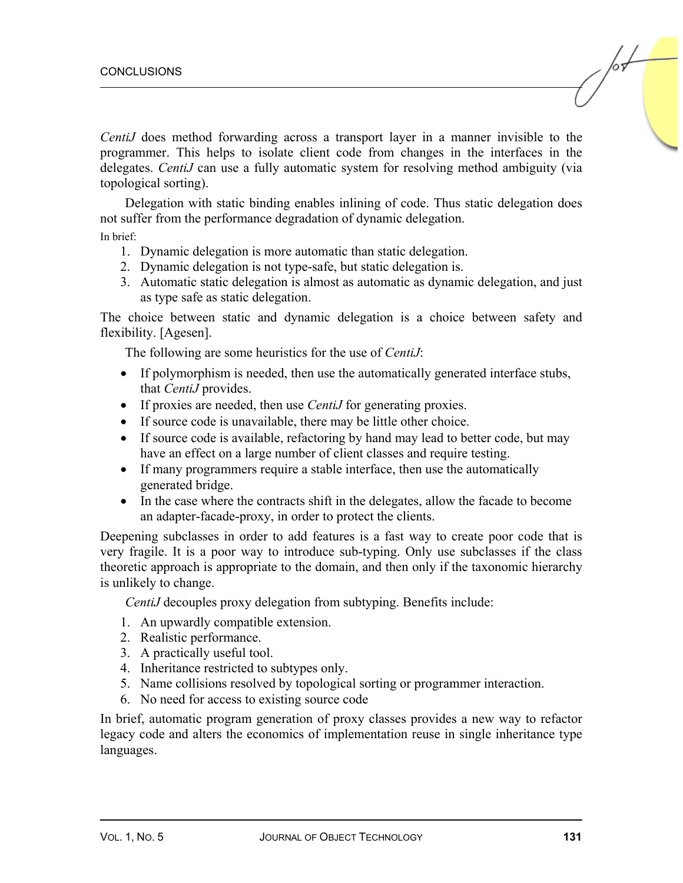*CentiJ* does method forwarding across a transport layer in a manner invisible to the programmer. This helps to isolate client code from changes in the interfaces in the delegates. *CentiJ* can use a fully automatic system for resolving method ambiguity (via topological sorting).

Delegation with static binding enables inlining of code. Thus static delegation does not suffer from the performance degradation of dynamic delegation.

In brief:

- 1. Dynamic delegation is more automatic than static delegation.
- 2. Dynamic delegation is not type-safe, but static delegation is.
- 3. Automatic static delegation is almost as automatic as dynamic delegation, and just as type safe as static delegation.

The choice between static and dynamic delegation is a choice between safety and flexibility. [Agesen].

The following are some heuristics for the use of *CentiJ*:

- If polymorphism is needed, then use the automatically generated interface stubs, that *CentiJ* provides.
- If proxies are needed, then use *CentiJ* for generating proxies.
- If source code is unavailable, there may be little other choice.
- If source code is available, refactoring by hand may lead to better code, but may have an effect on a large number of client classes and require testing.
- If many programmers require a stable interface, then use the automatically generated bridge.
- In the case where the contracts shift in the delegates, allow the facade to become an adapter-facade-proxy, in order to protect the clients.

Deepening subclasses in order to add features is a fast way to create poor code that is very fragile. It is a poor way to introduce sub-typing. Only use subclasses if the class theoretic approach is appropriate to the domain, and then only if the taxonomic hierarchy is unlikely to change.

*CentiJ* decouples proxy delegation from subtyping. Benefits include:

- 1. An upwardly compatible extension.
- 2. Realistic performance.
- 3. A practically useful tool.
- 4. Inheritance restricted to subtypes only.
- 5. Name collisions resolved by topological sorting or programmer interaction.
- 6. No need for access to existing source code

In brief, automatic program generation of proxy classes provides a new way to refactor legacy code and alters the economics of implementation reuse in single inheritance type languages.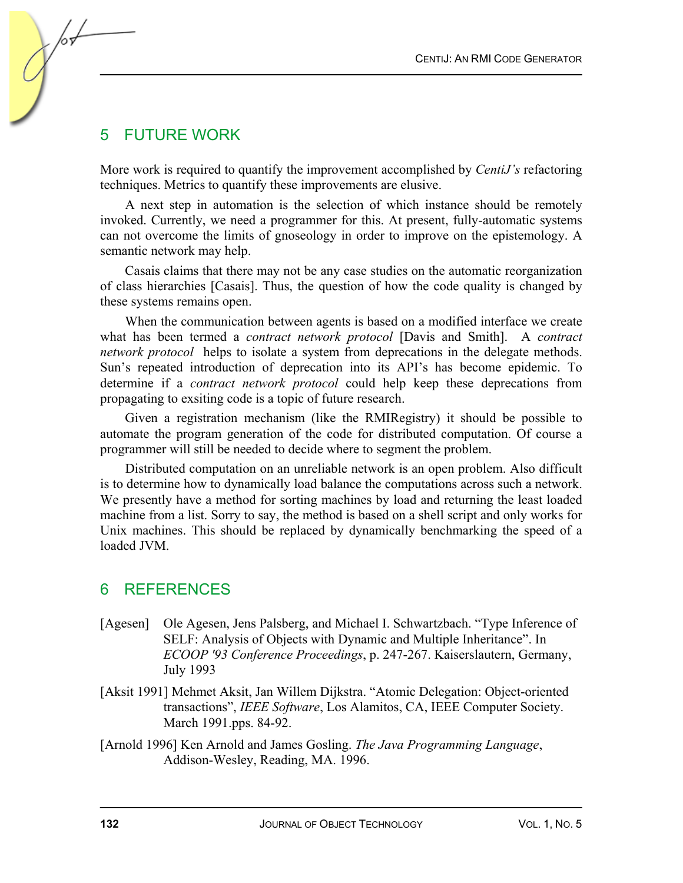## 5 FUTURE WORK

More work is required to quantify the improvement accomplished by *CentiJ's* refactoring techniques. Metrics to quantify these improvements are elusive.

A next step in automation is the selection of which instance should be remotely invoked. Currently, we need a programmer for this. At present, fully-automatic systems can not overcome the limits of gnoseology in order to improve on the epistemology. A semantic network may help.

Casais claims that there may not be any case studies on the automatic reorganization of class hierarchies [Casais]. Thus, the question of how the code quality is changed by these systems remains open.

When the communication between agents is based on a modified interface we create what has been termed a *contract network protocol* [Davis and Smith]. A *contract network protocol* helps to isolate a system from deprecations in the delegate methods. Sun's repeated introduction of deprecation into its API's has become epidemic. To determine if a *contract network protocol* could help keep these deprecations from propagating to exsiting code is a topic of future research.

Given a registration mechanism (like the RMIRegistry) it should be possible to automate the program generation of the code for distributed computation. Of course a programmer will still be needed to decide where to segment the problem.

Distributed computation on an unreliable network is an open problem. Also difficult is to determine how to dynamically load balance the computations across such a network. We presently have a method for sorting machines by load and returning the least loaded machine from a list. Sorry to say, the method is based on a shell script and only works for Unix machines. This should be replaced by dynamically benchmarking the speed of a loaded JVM.

## 6 REFERENCES

- [Agesen] Ole Agesen, Jens Palsberg, and Michael I. Schwartzbach. "Type Inference of SELF: Analysis of Objects with Dynamic and Multiple Inheritance". In *ECOOP '93 Conference Proceedings*, p. 247-267. Kaiserslautern, Germany, July 1993
- [Aksit 1991] Mehmet Aksit, Jan Willem Dijkstra. "Atomic Delegation: Object-oriented transactions", *IEEE Software*, Los Alamitos, CA, IEEE Computer Society. March 1991.pps. 84-92.
- [Arnold 1996] Ken Arnold and James Gosling. *The Java Programming Language*, Addison-Wesley, Reading, MA. 1996.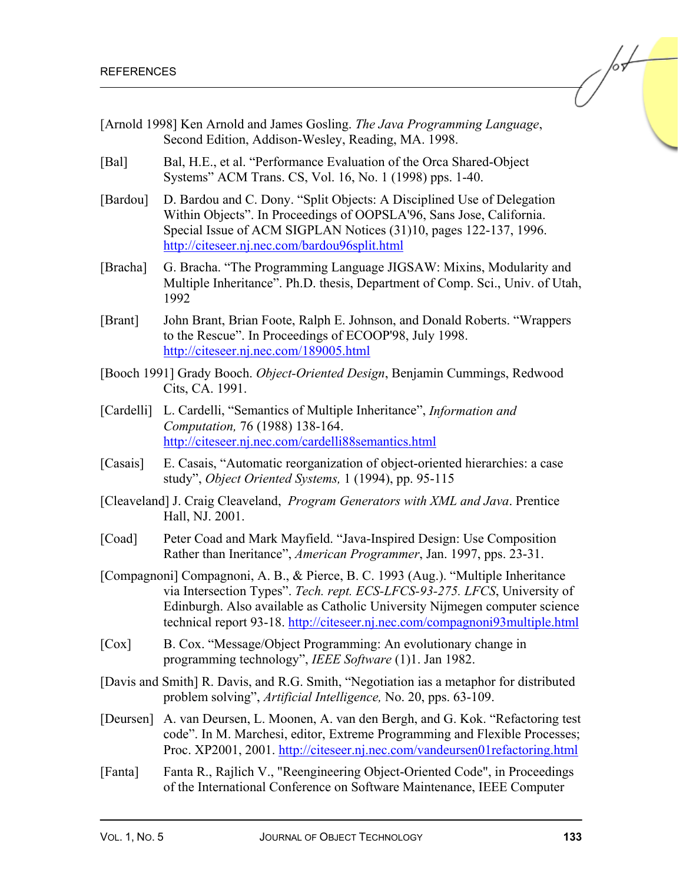- [Arnold 1998] Ken Arnold and James Gosling. *The Java Programming Language*, Second Edition, Addison-Wesley, Reading, MA. 1998.
- [Bal] Bal, H.E., et al. "Performance Evaluation of the Orca Shared-Object Systems" ACM Trans. CS, Vol. 16, No. 1 (1998) pps. 1-40.
- [Bardou] D. Bardou and C. Dony. "Split Objects: A Disciplined Use of Delegation Within Objects". In Proceedings of OOPSLA'96, Sans Jose, California. Special Issue of ACM SIGPLAN Notices (31)10, pages 122-137, 1996. <http://citeseer.nj.nec.com/bardou96split.html>
- [Bracha] G. Bracha. "The Programming Language JIGSAW: Mixins, Modularity and Multiple Inheritance". Ph.D. thesis, Department of Comp. Sci., Univ. of Utah, 1992
- [Brant] John Brant, Brian Foote, Ralph E. Johnson, and Donald Roberts. "Wrappers to the Rescue". In Proceedings of ECOOP'98, July 1998. <http://citeseer.nj.nec.com/189005.html>
- [Booch 1991] Grady Booch. *Object-Oriented Design*, Benjamin Cummings, Redwood Cits, CA. 1991.
- [Cardelli] L. Cardelli, "Semantics of Multiple Inheritance", *Information and Computation,* 76 (1988) 138-164. <http://citeseer.nj.nec.com/cardelli88semantics.html>
- [Casais] E. Casais, "Automatic reorganization of object-oriented hierarchies: a case study", *Object Oriented Systems,* 1 (1994), pp. 95-115
- [Cleaveland] J. Craig Cleaveland, *Program Generators with XML and Java*. Prentice Hall, NJ. 2001.
- [Coad] Peter Coad and Mark Mayfield. "Java-Inspired Design: Use Composition Rather than Ineritance", *American Programmer*, Jan. 1997, pps. 23-31.
- [Compagnoni] Compagnoni, A. B., & Pierce, B. C. 1993 (Aug.). "Multiple Inheritance via Intersection Types". *Tech. rept. ECS-LFCS-93-275. LFCS*, University of Edinburgh. Also available as Catholic University Nijmegen computer science technical report 93-18[. http://citeseer.nj.nec.com/compagnoni93multiple.html](http://citeseer.nj.nec.com/compagnoni93multiple.html)
- [Cox] B. Cox. "Message/Object Programming: An evolutionary change in programming technology", *IEEE Software* (1)1. Jan 1982.
- [Davis and Smith] R. Davis, and R.G. Smith, "Negotiation ias a metaphor for distributed problem solving", *Artificial Intelligence,* No. 20, pps. 63-109.
- [Deursen] A. van Deursen, L. Moonen, A. van den Bergh, and G. Kok. "Refactoring test code". In M. Marchesi, editor, Extreme Programming and Flexible Processes; Proc. XP2001, 2001.<http://citeseer.nj.nec.com/vandeursen01refactoring.html>
- [Fanta] Fanta R., Rajlich V., "Reengineering Object-Oriented Code", in Proceedings of the International Conference on Software Maintenance, IEEE Computer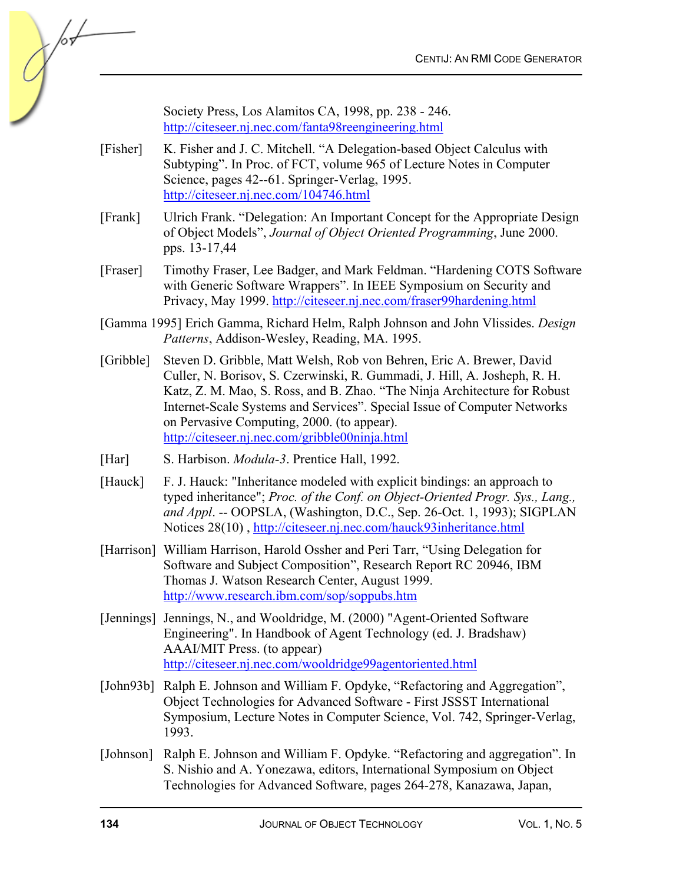Society Press, Los Alamitos CA, 1998, pp. 238 - 246. <http://citeseer.nj.nec.com/fanta98reengineering.html>

- [Fisher] K. Fisher and J. C. Mitchell. "A Delegation-based Object Calculus with Subtyping". In Proc. of FCT, volume 965 of Lecture Notes in Computer Science, pages 42--61. Springer-Verlag, 1995. <http://citeseer.nj.nec.com/104746.html>
- [Frank] Ulrich Frank. "Delegation: An Important Concept for the Appropriate Design of Object Models", *Journal of Object Oriented Programming*, June 2000. pps. 13-17,44
- [Fraser] Timothy Fraser, Lee Badger, and Mark Feldman. "Hardening COTS Software with Generic Software Wrappers". In IEEE Symposium on Security and Privacy, May 1999[. http://citeseer.nj.nec.com/fraser99hardening.html](http://citeseer.nj.nec.com/fraser99hardening.html)
- [Gamma 1995] Erich Gamma, Richard Helm, Ralph Johnson and John Vlissides. *Design Patterns*, Addison-Wesley, Reading, MA. 1995.
- [Gribble] Steven D. Gribble, Matt Welsh, Rob von Behren, Eric A. Brewer, David Culler, N. Borisov, S. Czerwinski, R. Gummadi, J. Hill, A. Josheph, R. H. Katz, Z. M. Mao, S. Ross, and B. Zhao. "The Ninja Architecture for Robust Internet-Scale Systems and Services". Special Issue of Computer Networks on Pervasive Computing, 2000. (to appear). <http://citeseer.nj.nec.com/gribble00ninja.html>
- [Har] S. Harbison. *Modula-3*. Prentice Hall, 1992.
- [Hauck] F. J. Hauck: "Inheritance modeled with explicit bindings: an approach to typed inheritance"; *Proc. of the Conf. on Object-Oriented Progr. Sys., Lang., and Appl*. -- OOPSLA, (Washington, D.C., Sep. 26-Oct. 1, 1993); SIGPLAN Notices 28(10) ,<http://citeseer.nj.nec.com/hauck93inheritance.html>
- [Harrison] William Harrison, Harold Ossher and Peri Tarr, "Using Delegation for Software and Subject Composition", Research Report RC 20946, IBM Thomas J. Watson Research Center, August 1999. <http://www.research.ibm.com/sop/soppubs.htm>
- [Jennings] Jennings, N., and Wooldridge, M. (2000) "Agent-Oriented Software Engineering". In Handbook of Agent Technology (ed. J. Bradshaw) AAAI/MIT Press. (to appear) <http://citeseer.nj.nec.com/wooldridge99agentoriented.html>
- [John93b] Ralph E. Johnson and William F. Opdyke, "Refactoring and Aggregation", Object Technologies for Advanced Software - First JSSST International Symposium, Lecture Notes in Computer Science, Vol. 742, Springer-Verlag, 1993.
- [Johnson] Ralph E. Johnson and William F. Opdyke. "Refactoring and aggregation". In S. Nishio and A. Yonezawa, editors, International Symposium on Object Technologies for Advanced Software, pages 264-278, Kanazawa, Japan,

 $\sqrt{\frac{1}{2}}$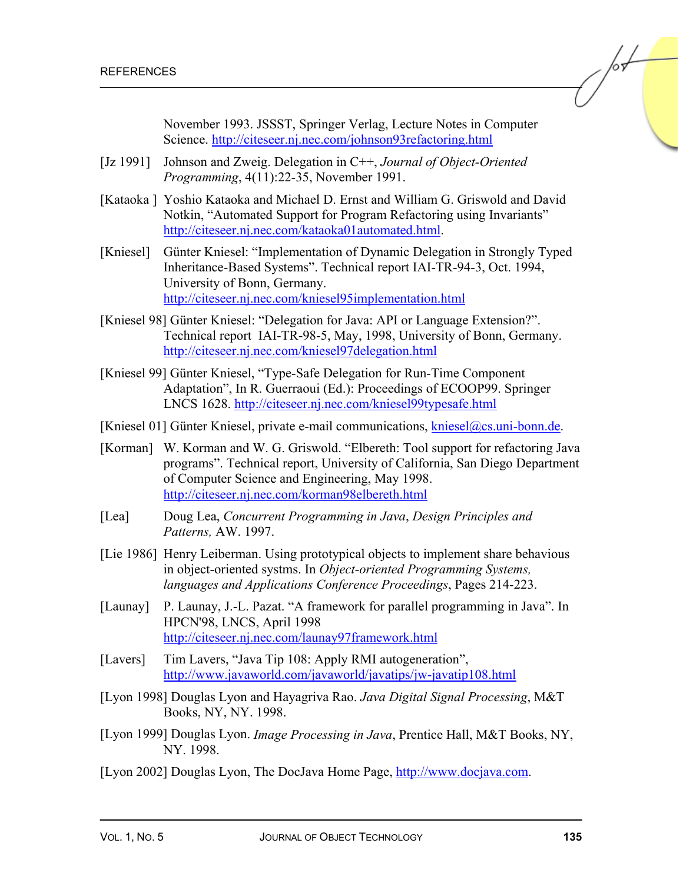November 1993. JSSST, Springer Verlag, Lecture Notes in Computer Science.<http://citeseer.nj.nec.com/johnson93refactoring.html>

- [Jz 1991] Johnson and Zweig. Delegation in C++, *Journal of Object-Oriented Programming*, 4(11):22-35, November 1991.
- [Kataoka ] Yoshio Kataoka and Michael D. Ernst and William G. Griswold and David Notkin, "Automated Support for Program Refactoring using Invariants" [http://citeseer.nj.nec.com/kataoka01automated.html.](http://citeseer.nj.nec.com/kataoka01automated.html)
- [Kniesel] Günter Kniesel: "Implementation of Dynamic Delegation in Strongly Typed Inheritance-Based Systems". Technical report IAI-TR-94-3, Oct. 1994, University of Bonn, Germany. <http://citeseer.nj.nec.com/kniesel95implementation.html>
- [Kniesel 98] Günter Kniesel: "Delegation for Java: API or Language Extension?". Technical report IAI-TR-98-5, May, 1998, University of Bonn, Germany. <http://citeseer.nj.nec.com/kniesel97delegation.html>
- [Kniesel 99] Günter Kniesel, "Type-Safe Delegation for Run-Time Component Adaptation", In R. Guerraoui (Ed.): Proceedings of ECOOP99. Springer LNCS 1628<. http://citeseer.nj.nec.com/kniesel99typesafe.html>
- [Kniesel 01] Günter Kniesel, private e-mail communications, [kniesel@cs.uni-bonn.de.](mailto:kniesel@cs.uni-bonn.de)
- [Korman] W. Korman and W. G. Griswold. "Elbereth: Tool support for refactoring Java programs". Technical report, University of California, San Diego Department of Computer Science and Engineering, May 1998. <http://citeseer.nj.nec.com/korman98elbereth.html>
- [Lea] Doug Lea, *Concurrent Programming in Java*, *Design Principles and Patterns,* AW. 1997.
- [Lie 1986] Henry Leiberman. Using prototypical objects to implement share behavious in object-oriented systms. In *Object-oriented Programming Systems, languages and Applications Conference Proceedings*, Pages 214-223.
- [Launay] P. Launay, J.-L. Pazat. "A framework for parallel programming in Java". In HPCN'98, LNCS, April 1998 <http://citeseer.nj.nec.com/launay97framework.html>
- [Lavers] Tim Lavers, "Java Tip 108: Apply RMI autogeneration", <http://www.javaworld.com/javaworld/javatips/jw-javatip108.html>
- [Lyon 1998] Douglas Lyon and Hayagriva Rao. *Java Digital Signal Processing*, M&T Books, NY, NY. 1998.
- [Lyon 1999] Douglas Lyon. *Image Processing in Java*, Prentice Hall, M&T Books, NY, NY. 1998.
- [Lyon 2002] Douglas Lyon, The DocJava Home Page[, http://www.docjava.com.](http://www.docjava.com)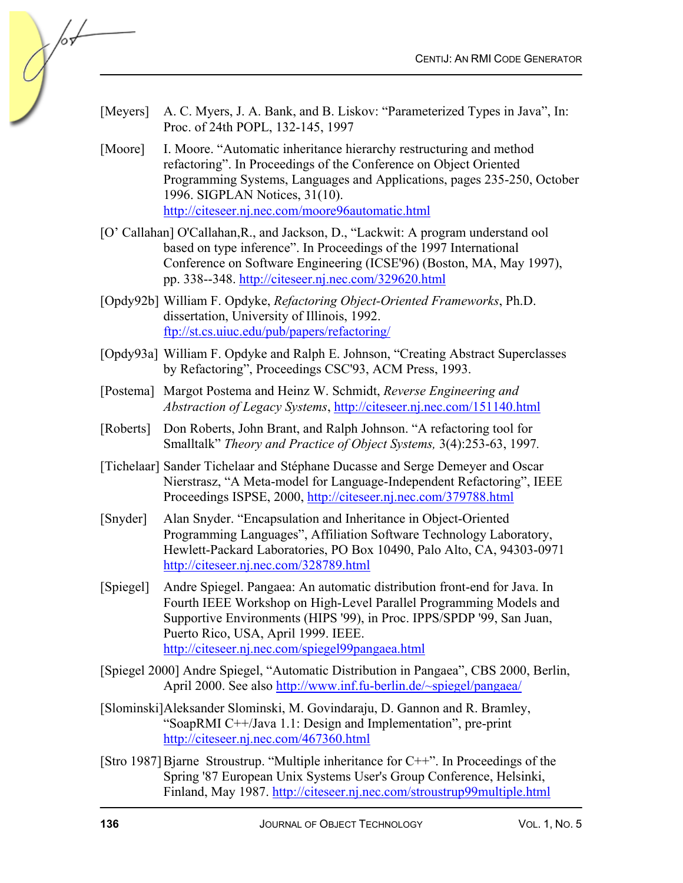- [Meyers] A. C. Myers, J. A. Bank, and B. Liskov: "Parameterized Types in Java", In: Proc. of 24th POPL, 132-145, 1997
- [Moore] I. Moore. "Automatic inheritance hierarchy restructuring and method refactoring". In Proceedings of the Conference on Object Oriented Programming Systems, Languages and Applications, pages 235-250, October 1996. SIGPLAN Notices, 31(10). <http://citeseer.nj.nec.com/moore96automatic.html>
- [O' Callahan] O'Callahan,R., and Jackson, D., "Lackwit: A program understand ool based on type inference". In Proceedings of the 1997 International Conference on Software Engineering (ICSE'96) (Boston, MA, May 1997), pp. 338--348[. http://citeseer.nj.nec.com/329620.html](http://citeseer.nj.nec.com/329620.html)
- [Opdy92b] William F. Opdyke, *Refactoring Object-Oriented Frameworks*, Ph.D. dissertation, University of Illinois, 1992. <ftp://st.cs.uiuc.edu/pub/papers/refactoring/>
- [Opdy93a] William F. Opdyke and Ralph E. Johnson, "Creating Abstract Superclasses by Refactoring", Proceedings CSC'93, ACM Press, 1993.
- [Postema] Margot Postema and Heinz W. Schmidt, *Reverse Engineering and Abstraction of Legacy Systems*[, http://citeseer.nj.nec.com/151140.html](http://citeseer.nj.nec.com/151140.html)
- [Roberts] Don Roberts, John Brant, and Ralph Johnson. "A refactoring tool for Smalltalk" *Theory and Practice of Object Systems,* 3(4):253-63, 1997*.*
- [Tichelaar] Sander Tichelaar and Stéphane Ducasse and Serge Demeyer and Oscar Nierstrasz, "A Meta-model for Language-Independent Refactoring", IEEE Proceedings ISPSE, 2000[, http://citeseer.nj.nec.com/379788.html](http://citeseer.nj.nec.com/379788.html)
- [Snyder] Alan Snyder. "Encapsulation and Inheritance in Object-Oriented Programming Languages", Affiliation Software Technology Laboratory, Hewlett-Packard Laboratories, PO Box 10490, Palo Alto, CA, 94303-0971 <http://citeseer.nj.nec.com/328789.html>
- [Spiegel] Andre Spiegel. Pangaea: An automatic distribution front-end for Java. In Fourth IEEE Workshop on High-Level Parallel Programming Models and Supportive Environments (HIPS '99), in Proc. IPPS/SPDP '99, San Juan, Puerto Rico, USA, April 1999. IEEE. <http://citeseer.nj.nec.com/spiegel99pangaea.html>
- [Spiegel 2000] Andre Spiegel, "Automatic Distribution in Pangaea", CBS 2000, Berlin, April 2000. See als[o http://www.inf.fu-berlin.de/~spiegel/pangaea/](http://www.inf.fu-berlin.de/~spiegel/pangaea/)
- [Slominski] Aleksander Slominski, M. Govindaraju, D. Gannon and R. Bramley, "SoapRMI C++/Java 1.1: Design and Implementation", pre-print <http://citeseer.nj.nec.com/467360.html>
- [Stro 1987] Bjarne Stroustrup. "Multiple inheritance for C++". In Proceedings of the Spring '87 European Unix Systems User's Group Conference, Helsinki, Finland, May 1987[. http://citeseer.nj.nec.com/stroustrup99multiple.html](http://citeseer.nj.nec.com/stroustrup99multiple.html)

 $\frac{1}{2}$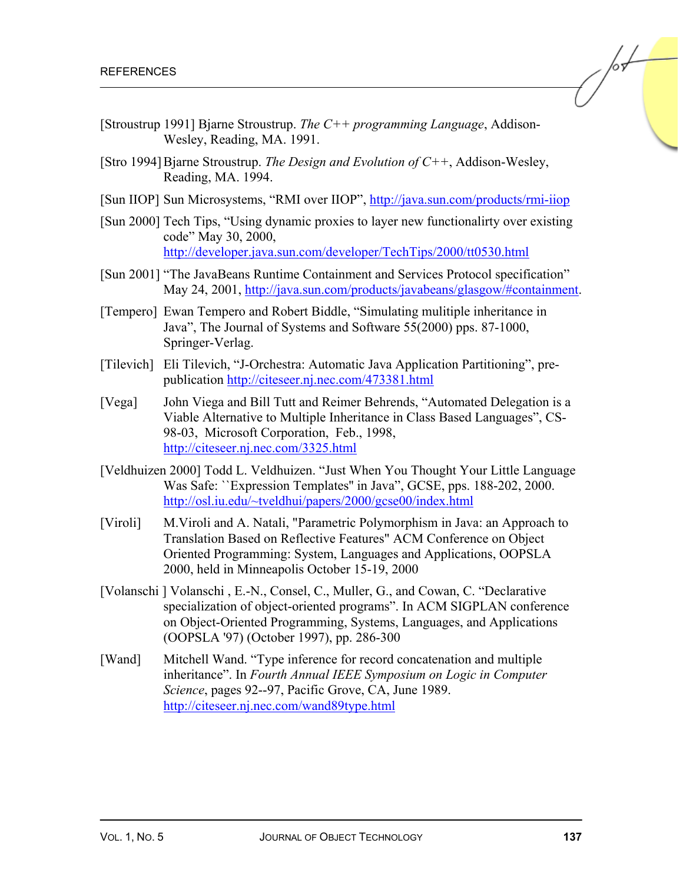- [Stroustrup 1991] Bjarne Stroustrup. *The C++ programming Language*, Addison-Wesley, Reading, MA. 1991.
- [Stro 1994] Bjarne Stroustrup. *The Design and Evolution of C++*, Addison-Wesley, Reading, MA. 1994.
- [Sun IIOP] Sun Microsystems, "RMI over IIOP"[, http://java.sun.com/products/rmi-iiop](http://java.sun.com/products/rmi-iiop)
- [Sun 2000] Tech Tips, "Using dynamic proxies to layer new functionalirty over existing code" May 30, 2000, <http://developer.java.sun.com/developer/TechTips/2000/tt0530.html>
- [Sun 2001] "The JavaBeans Runtime Containment and Services Protocol specification" May 24, 2001, [http://java.sun.com/products/javabeans/glasgow/#containment.](http://java.sun.com/products/javabeans/glasgow/#containment)
- [Tempero] Ewan Tempero and Robert Biddle, "Simulating mulitiple inheritance in Java", The Journal of Systems and Software 55(2000) pps. 87-1000, Springer-Verlag.
- [Tilevich] Eli Tilevich, "J-Orchestra: Automatic Java Application Partitioning", prepublicatio[n http://citeseer.nj.nec.com/473381.html](http://citeseer.nj.nec.com/473381.html)
- [Vega] John Viega and Bill Tutt and Reimer Behrends, "Automated Delegation is a Viable Alternative to Multiple Inheritance in Class Based Languages", CS-98-03, Microsoft Corporation, Feb., 1998, <http://citeseer.nj.nec.com/3325.html>
- [Veldhuizen 2000] Todd L. Veldhuizen. "Just When You Thought Your Little Language Was Safe: ``Expression Templates'' in Java", GCSE, pps. 188-202, 2000. <http://osl.iu.edu/~tveldhui/papers/2000/gcse00/index.html>
- [Viroli] M.Viroli and A. Natali, "Parametric Polymorphism in Java: an Approach to Translation Based on Reflective Features" ACM Conference on Object Oriented Programming: System, Languages and Applications, OOPSLA 2000, held in Minneapolis October 15-19, 2000
- [Volanschi ] Volanschi , E.-N., Consel, C., Muller, G., and Cowan, C. "Declarative specialization of object-oriented programs". In ACM SIGPLAN conference on Object-Oriented Programming, Systems, Languages, and Applications (OOPSLA '97) (October 1997), pp. 286-300
- [Wand] Mitchell Wand. "Type inference for record concatenation and multiple inheritance". In *Fourth Annual IEEE Symposium on Logic in Computer Science*, pages 92--97, Pacific Grove, CA, June 1989. <http://citeseer.nj.nec.com/wand89type.html>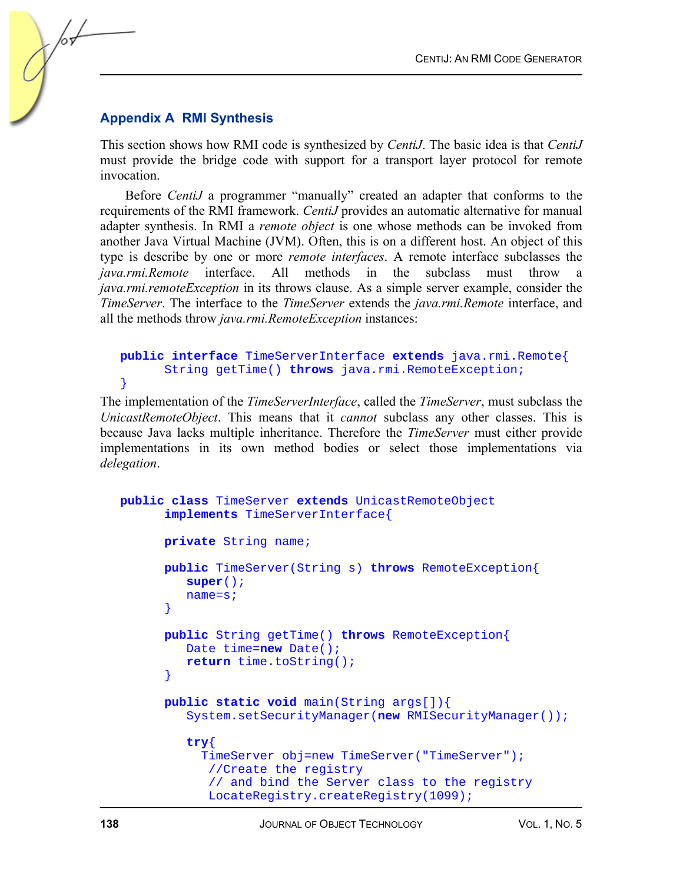#### **Appendix A RMI Synthesis**

This section shows how RMI code is synthesized by *CentiJ*. The basic idea is that *CentiJ*  must provide the bridge code with support for a transport layer protocol for remote invocation.

Before *CentiJ* a programmer "manually" created an adapter that conforms to the requirements of the RMI framework. *CentiJ* provides an automatic alternative for manual adapter synthesis. In RMI a *remote object* is one whose methods can be invoked from another Java Virtual Machine (JVM). Often, this is on a different host. An object of this type is describe by one or more *remote interfaces*. A remote interface subclasses the *java.rmi.Remote* interface. All methods in the subclass must throw a *java.rmi.remoteException* in its throws clause. As a simple server example, consider the *TimeServer*. The interface to the *TimeServer* extends the *java.rmi.Remote* interface, and all the methods throw *java.rmi.RemoteException* instances:

#### **public interface** TimeServerInterface **extends** java.rmi.Remote{ String getTime() **throws** java.rmi.RemoteException; }

The implementation of the *TimeServerInterface*, called the *TimeServer*, must subclass the *UnicastRemoteObject*. This means that it *cannot* subclass any other classes. This is because Java lacks multiple inheritance. Therefore the *TimeServer* must either provide implementations in its own method bodies or select those implementations via *delegation*.

```
public class TimeServer extends UnicastRemoteObject 
       implements TimeServerInterface{ 
       private String name; 
       public TimeServer(String s) throws RemoteException{ 
          super(); 
          name=s; 
 } 
       public String getTime() throws RemoteException{ 
          Date time=new Date(); 
          return time.toString(); 
       } 
       public static void main(String args[]){ 
          System.setSecurityManager(new RMISecurityManager()); 
          try{ 
            TimeServer obj=new TimeServer("TimeServer"); 
             //Create the registry 
             // and bind the Server class to the registry 
             LocateRegistry.createRegistry(1099);
```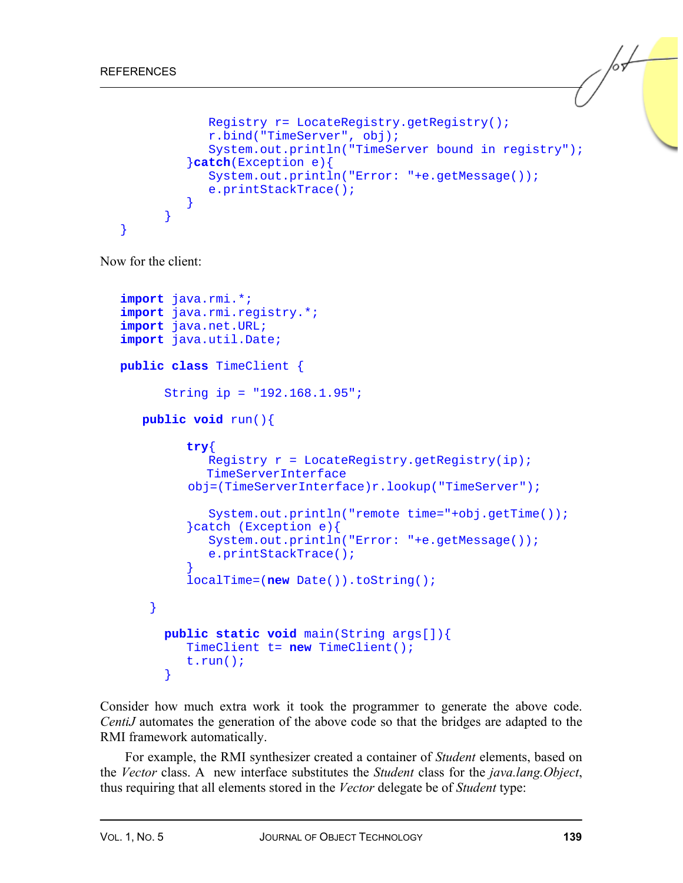```
 Registry r= LocateRegistry.getRegistry(); 
             r.bind("TimeServer", obj); 
             System.out.println("TimeServer bound in registry"); 
          }catch(Exception e){ 
             System.out.println("Error: "+e.getMessage()); 
             e.printStackTrace(); 
 } 
 } 
}
```
Now for the client:

```
import java.rmi.*; 
import java.rmi.registry.*; 
import java.net.URL; 
import java.util.Date; 
public class TimeClient { 
       String ip = "192.168.1.95"; 
    public void run(){ 
          try{ 
            Registry r = LocateRegistry.getRegistry(ip);
             TimeServerInterface 
           obj=(TimeServerInterface)r.lookup("TimeServer"); 
              System.out.println("remote time="+obj.getTime()); 
          }catch (Exception e){ 
              System.out.println("Error: "+e.getMessage()); 
              e.printStackTrace(); 
 } 
          localTime=(new Date()).toString(); 
     } 
       public static void main(String args[]){ 
          TimeClient t= new TimeClient(); 
          t.run(); 
       }
```
Consider how much extra work it took the programmer to generate the above code. *CentiJ* automates the generation of the above code so that the bridges are adapted to the RMI framework automatically.

For example, the RMI synthesizer created a container of *Student* elements, based on the *Vector* class. A new interface substitutes the *Student* class for the *java.lang.Object*, thus requiring that all elements stored in the *Vector* delegate be of *Student* type: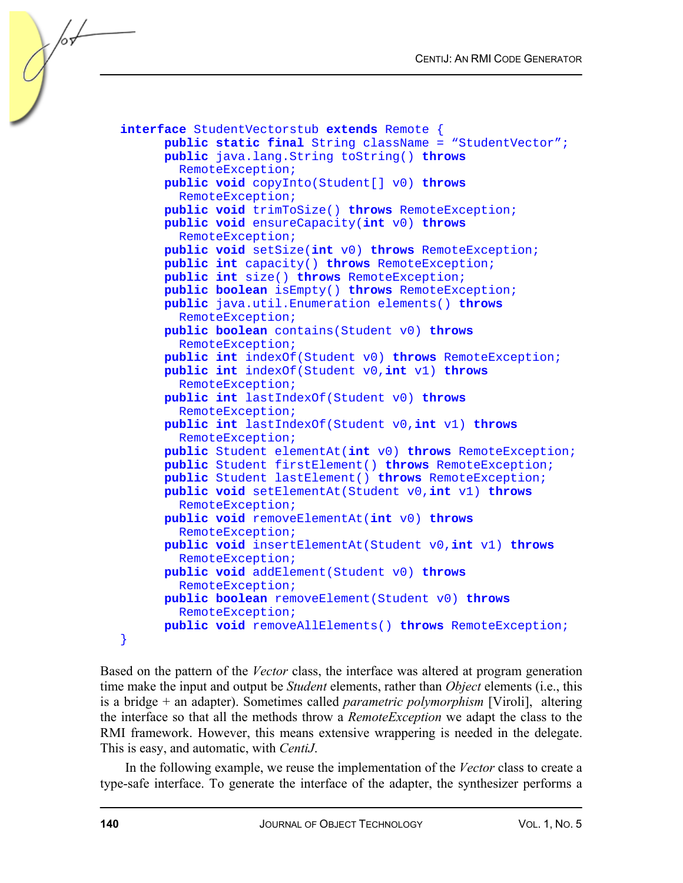```
interface StudentVectorstub extends Remote { 
       public static final String className = "StudentVector"; 
       public java.lang.String toString() throws
         RemoteException; 
       public void copyInto(Student[] v0) throws
         RemoteException; 
       public void trimToSize() throws RemoteException; 
       public void ensureCapacity(int v0) throws
         RemoteException; 
       public void setSize(int v0) throws RemoteException; 
       public int capacity() throws RemoteException; 
       public int size() throws RemoteException; 
       public boolean isEmpty() throws RemoteException; 
       public java.util.Enumeration elements() throws
         RemoteException; 
       public boolean contains(Student v0) throws
         RemoteException; 
       public int indexOf(Student v0) throws RemoteException; 
       public int indexOf(Student v0,int v1) throws
         RemoteException; 
       public int lastIndexOf(Student v0) throws
         RemoteException; 
       public int lastIndexOf(Student v0,int v1) throws
         RemoteException; 
       public Student elementAt(int v0) throws RemoteException; 
       public Student firstElement() throws RemoteException; 
       public Student lastElement() throws RemoteException; 
       public void setElementAt(Student v0,int v1) throws
         RemoteException; 
       public void removeElementAt(int v0) throws
         RemoteException; 
       public void insertElementAt(Student v0,int v1) throws
         RemoteException; 
       public void addElement(Student v0) throws
         RemoteException; 
       public boolean removeElement(Student v0) throws
         RemoteException; 
       public void removeAllElements() throws RemoteException; 
}
```
Based on the pattern of the *Vector* class, the interface was altered at program generation time make the input and output be *Student* elements, rather than *Object* elements (i.e., this is a bridge + an adapter). Sometimes called *parametric polymorphism* [Viroli], altering the interface so that all the methods throw a *RemoteException* we adapt the class to the RMI framework. However, this means extensive wrappering is needed in the delegate. This is easy, and automatic, with *CentiJ*.

In the following example, we reuse the implementation of the *Vector* class to create a type-safe interface. To generate the interface of the adapter, the synthesizer performs a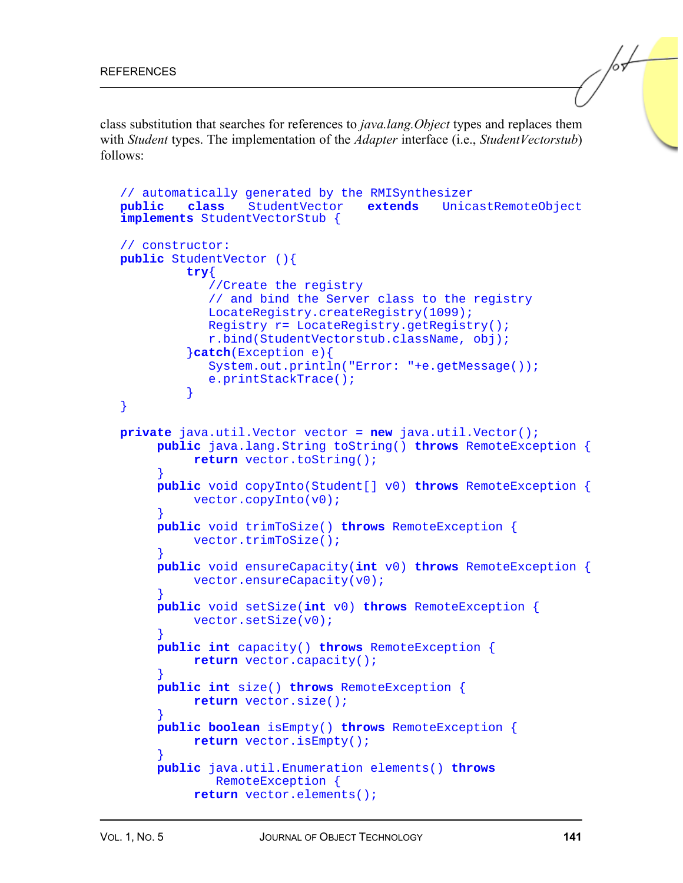class substitution that searches for references to *java.lang.Object* types and replaces them with *Student* types. The implementation of the *Adapter* interface (i.e., *StudentVectorstub*) follows:

```
// automatically generated by the RMISynthesizer 
public class StudentVector extends UnicastRemoteObject 
implements StudentVectorStub { 
// constructor: 
public StudentVector (){ 
          try{ 
             //Create the registry 
             // and bind the Server class to the registry 
             LocateRegistry.createRegistry(1099); 
             Registry r= LocateRegistry.getRegistry(); 
             r.bind(StudentVectorstub.className, obj); 
          }catch(Exception e){ 
             System.out.println("Error: "+e.getMessage()); 
             e.printStackTrace(); 
 } 
} 
private java.util.Vector vector = new java.util.Vector(); 
      public java.lang.String toString() throws RemoteException { 
           return vector.toString(); 
 } 
      public void copyInto(Student[] v0) throws RemoteException { 
           vector.copyInto(v0); 
 } 
      public void trimToSize() throws RemoteException { 
           vector.trimToSize(); 
      } 
      public void ensureCapacity(int v0) throws RemoteException { 
          vector.ensureCapacity(v0);
 } 
      public void setSize(int v0) throws RemoteException { 
           vector.setSize(v0); 
 } 
      public int capacity() throws RemoteException { 
           return vector.capacity(); 
 } 
      public int size() throws RemoteException { 
           return vector.size(); 
      } 
      public boolean isEmpty() throws RemoteException { 
           return vector.isEmpty(); 
 } 
      public java.util.Enumeration elements() throws 
              RemoteException { 
           return vector.elements();
```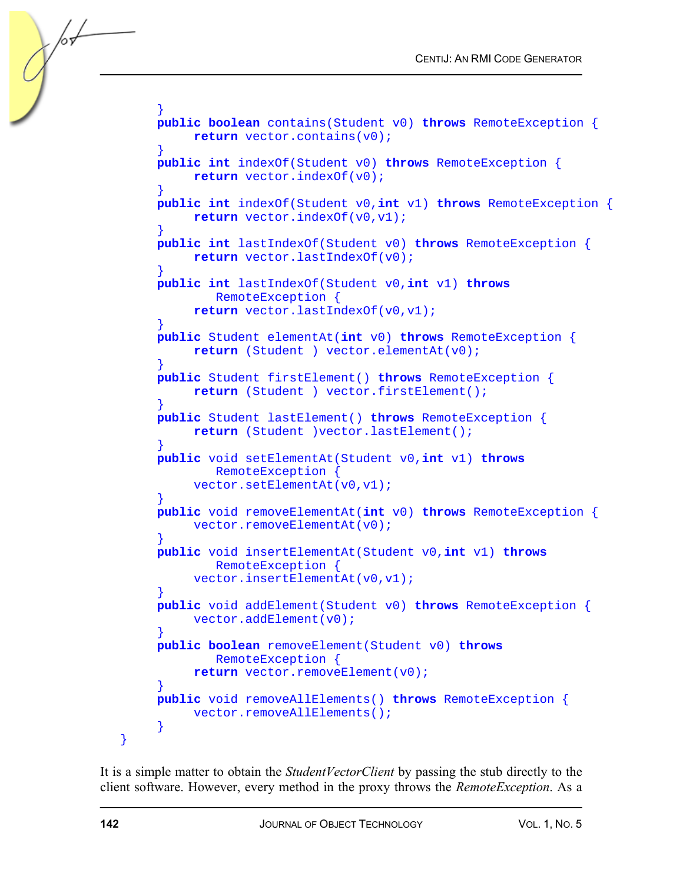```
 } 
     public boolean contains(Student v0) throws RemoteException { 
           return vector.contains(v0); 
 } 
     public int indexOf(Student v0) throws RemoteException { 
           return vector.indexOf(v0); 
 } 
     public int indexOf(Student v0,int v1) throws RemoteException { 
           return vector.indexOf(v0,v1); 
 } 
     public int lastIndexOf(Student v0) throws RemoteException { 
           return vector.lastIndexOf(v0); 
 } 
     public int lastIndexOf(Student v0,int v1) throws 
              RemoteException { 
           return vector.lastIndexOf(v0,v1); 
 } 
      public Student elementAt(int v0) throws RemoteException { 
           return (Student ) vector.elementAt(v0); 
 } 
     public Student firstElement() throws RemoteException { 
           return (Student ) vector.firstElement(); 
 } 
      public Student lastElement() throws RemoteException { 
           return (Student )vector.lastElement(); 
 } 
     public void setElementAt(Student v0,int v1) throws 
              RemoteException { 
           vector.setElementAt(v0,v1); 
 } 
      public void removeElementAt(int v0) throws RemoteException { 
          vector.removeElementAt(v0);
      } 
     public void insertElementAt(Student v0,int v1) throws 
              RemoteException { 
          vector.insertElementAt(v0,v1);
 } 
      public void addElement(Student v0) throws RemoteException { 
           vector.addElement(v0); 
 } 
     public boolean removeElement(Student v0) throws 
              RemoteException { 
          return vector.removeElement(v0);
 } 
     public void removeAllElements() throws RemoteException { 
         vector.removeAllElements();
      }
```
It is a simple matter to obtain the *StudentVectorClient* by passing the stub directly to the client software. However, every method in the proxy throws the *RemoteException*. As a

}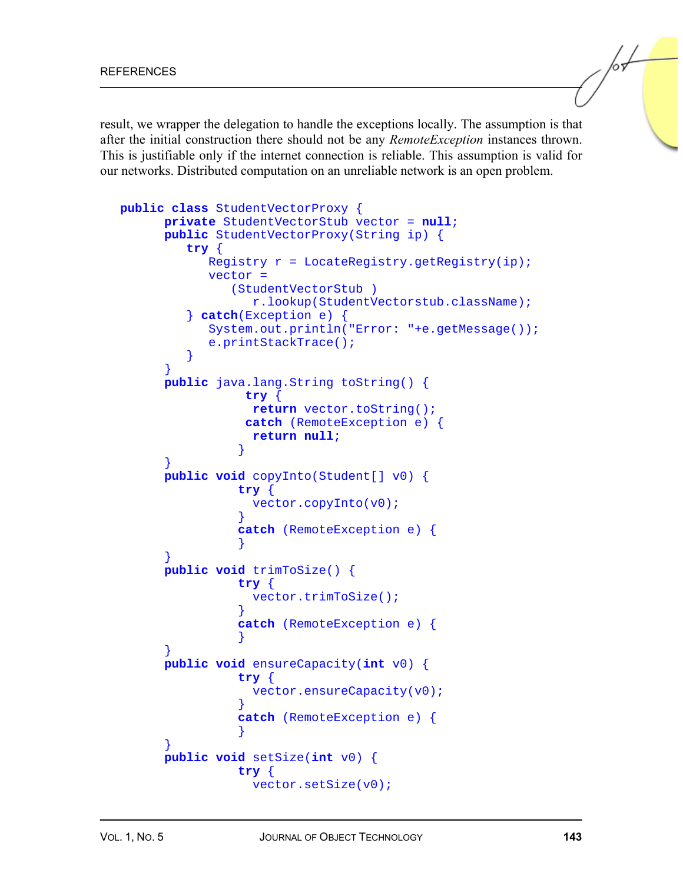result, we wrapper the delegation to handle the exceptions locally. The assumption is that after the initial construction there should not be any *RemoteException* instances thrown. This is justifiable only if the internet connection is reliable. This assumption is valid for our networks. Distributed computation on an unreliable network is an open problem.

```
public class StudentVectorProxy { 
      private StudentVectorStub vector = null; 
      public StudentVectorProxy(String ip) { 
         try { 
           Registry r = LocateRegistry.getRegistry(ip);
            vector = 
               (StudentVectorStub ) 
                  r.lookup(StudentVectorstub.className); 
         } catch(Exception e) { 
            System.out.println("Error: "+e.getMessage()); 
            e.printStackTrace(); 
 } 
 } 
      public java.lang.String toString() { 
                 try { 
                  return vector.toString(); 
                 catch (RemoteException e) { 
                  return null; 
 } 
 } 
      public void copyInto(Student[] v0) { 
                try { 
                  vector.copyInto(v0); 
 } 
                catch (RemoteException e) { 
 } 
 } 
      public void trimToSize() { 
                try { 
                  vector.trimToSize(); 
 } 
                catch (RemoteException e) { 
 } 
 } 
      public void ensureCapacity(int v0) { 
                try { 
                 vector.ensureCapacity(v0);
 } 
                catch (RemoteException e) { 
 } 
 } 
      public void setSize(int v0) { 
                try { 
                  vector.setSize(v0);
```
 $\sqrt{\frac{1}{2}}$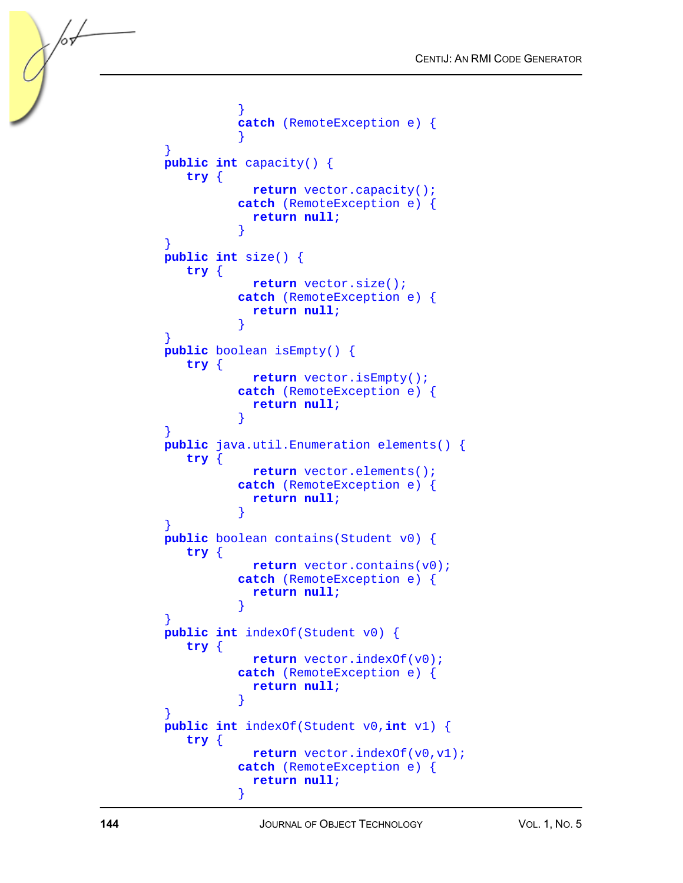```
 } 
               catch (RemoteException e) { 
 } 
 } 
      public int capacity() { 
         try { 
                 return vector.capacity(); 
               catch (RemoteException e) { 
                 return null; 
 } 
 } 
      public int size() { 
         try { 
                 return vector.size(); 
               catch (RemoteException e) { 
                 return null; 
 } 
 } 
      public boolean isEmpty() { 
         try { 
                 return vector.isEmpty(); 
               catch (RemoteException e) { 
                 return null; 
 } 
 } 
      public java.util.Enumeration elements() { 
         try { 
                 return vector.elements(); 
               catch (RemoteException e) { 
                 return null; 
 } 
 } 
      public boolean contains(Student v0) { 
         try { 
                 return vector.contains(v0); 
               catch (RemoteException e) { 
                 return null; 
 } 
 } 
      public int indexOf(Student v0) { 
         try { 
                 return vector.indexOf(v0); 
               catch (RemoteException e) { 
                 return null; 
 } 
 } 
      public int indexOf(Student v0,int v1) { 
         try { 
                 return vector.indexOf(v0,v1); 
               catch (RemoteException e) { 
                 return null; 
 }
```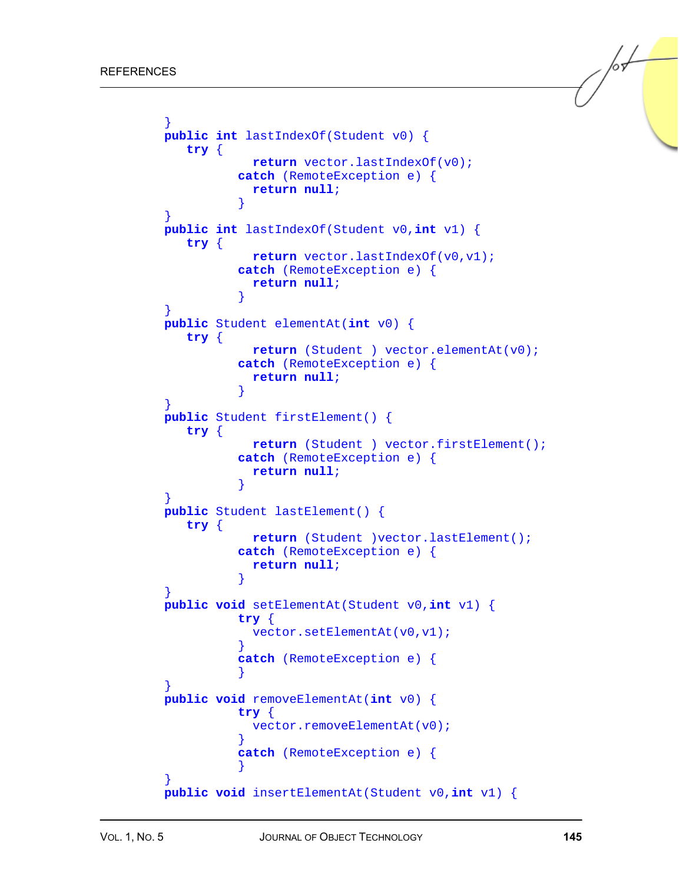```
 } 
      public int lastIndexOf(Student v0) { 
        try { 
                 return vector.lastIndexOf(v0); 
               catch (RemoteException e) { 
                 return null; 
 } 
 } 
      public int lastIndexOf(Student v0,int v1) { 
         try { 
                 return vector.lastIndexOf(v0,v1); 
               catch (RemoteException e) { 
                 return null; 
 } 
 } 
      public Student elementAt(int v0) { 
        try { 
                 return (Student ) vector.elementAt(v0); 
               catch (RemoteException e) { 
                 return null; 
 } 
 } 
      public Student firstElement() { 
        try { 
                 return (Student ) vector.firstElement(); 
               catch (RemoteException e) { 
                 return null; 
 } 
 } 
      public Student lastElement() { 
        try { 
                 return (Student )vector.lastElement(); 
               catch (RemoteException e) { 
                 return null; 
 } 
 } 
      public void setElementAt(Student v0,int v1) { 
               try { 
                 vector.setElementAt(v0,v1); 
 } 
               catch (RemoteException e) { 
 } 
 } 
      public void removeElementAt(int v0) { 
               try { 
                vector.removeElementAt(v0);
 } 
               catch (RemoteException e) { 
 } 
 } 
      public void insertElementAt(Student v0,int v1) {
```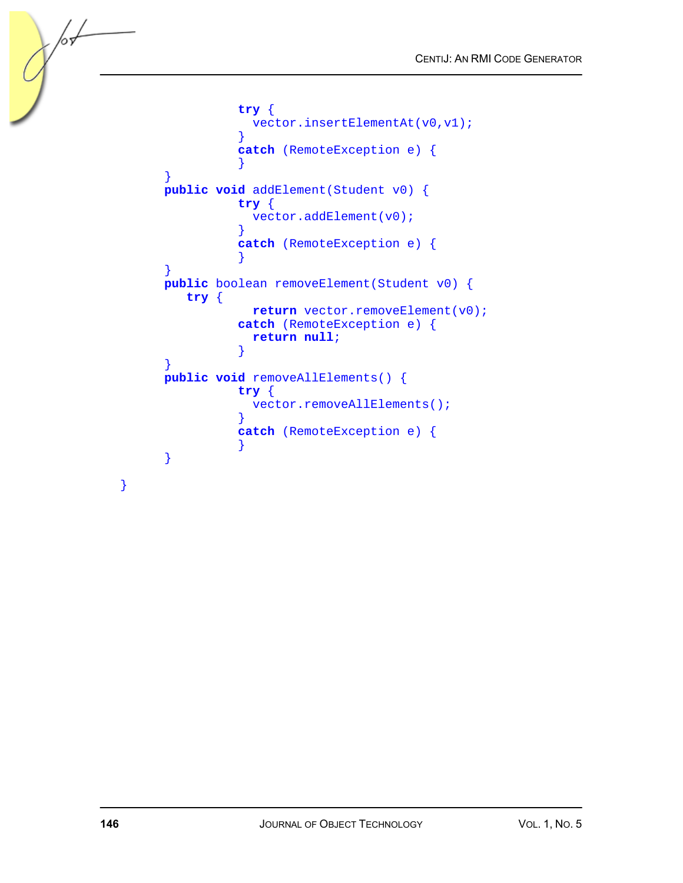```
 try { 
                vector.insertElementAt(v0,v1); 
 } 
               catch (RemoteException e) { 
 } 
      } 
      public void addElement(Student v0) { 
               try { 
                vector.addElement(v0); 
 } 
               catch (RemoteException e) { 
 } 
      } 
      public boolean removeElement(Student v0) { 
        try { 
               return vector.removeElement(v0);
               catch (RemoteException e) { 
                return null; 
 } 
      } 
      public void removeAllElements() { 
               try { 
               vector.removeAllElements();
 } 
               catch (RemoteException e) { 
 } 
      }
```
}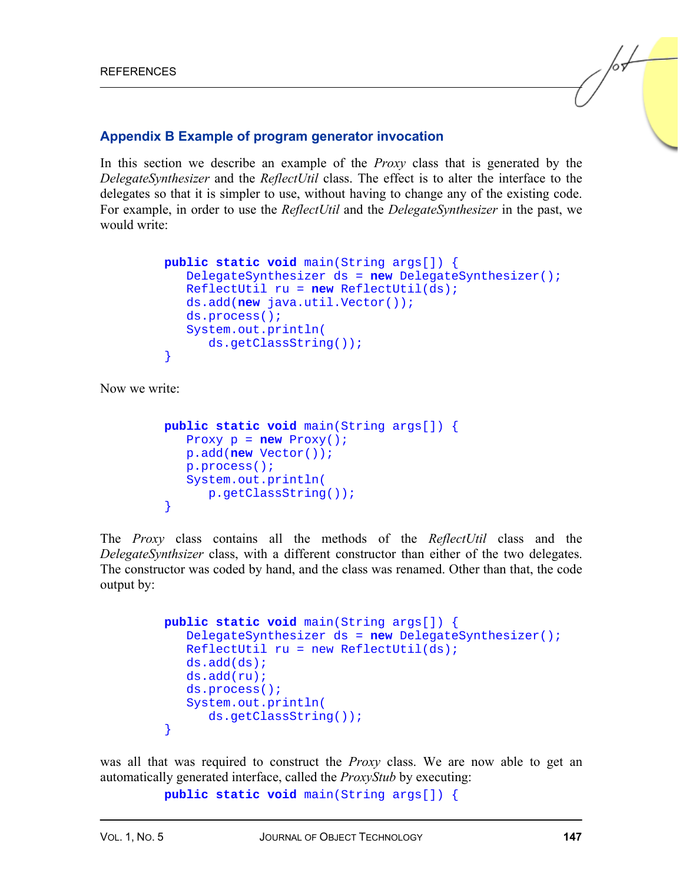#### **Appendix B Example of program generator invocation**

In this section we describe an example of the *Proxy* class that is generated by the *DelegateSynthesizer* and the *ReflectUtil* class. The effect is to alter the interface to the delegates so that it is simpler to use, without having to change any of the existing code. For example, in order to use the *ReflectUtil* and the *DelegateSynthesizer* in the past, we would write:

```
 public static void main(String args[]) { 
          DelegateSynthesizer ds = new DelegateSynthesizer(); 
          ReflectUtil ru = new ReflectUtil(ds); 
          ds.add(new java.util.Vector()); 
          ds.process(); 
          System.out.println( 
             ds.getClassString()); 
 }
```
Now we write:

```
 public static void main(String args[]) { 
   Proxy p = new Proxy();
    p.add(new Vector()); 
    p.process(); 
    System.out.println( 
       p.getClassString()); 
 }
```
The *Proxy* class contains all the methods of the *ReflectUtil* class and the *DelegateSynthsizer* class, with a different constructor than either of the two delegates. The constructor was coded by hand, and the class was renamed. Other than that, the code output by:

```
 public static void main(String args[]) { 
    DelegateSynthesizer ds = new DelegateSynthesizer(); 
   ReflectUtil ru = new Reflection (ds);
    ds.add(ds); 
    ds.add(ru); 
    ds.process(); 
    System.out.println( 
       ds.getClassString()); 
 }
```
was all that was required to construct the *Proxy* class. We are now able to get an automatically generated interface, called the *ProxyStub* by executing:

```
 public static void main(String args[]) {
```
 $\sqrt{\frac{1}{2}}$